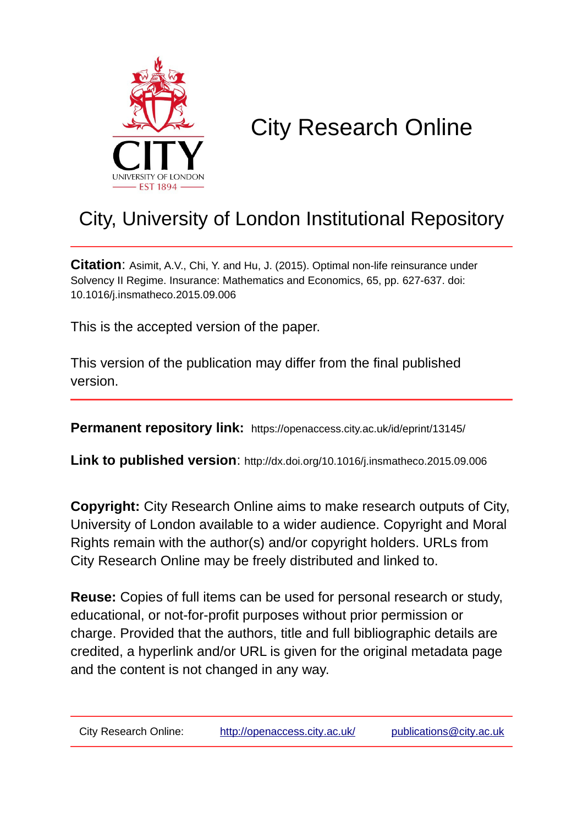

# City Research Online

# City, University of London Institutional Repository

**Citation**: Asimit, A.V., Chi, Y. and Hu, J. (2015). Optimal non-life reinsurance under Solvency II Regime. Insurance: Mathematics and Economics, 65, pp. 627-637. doi: 10.1016/j.insmatheco.2015.09.006

This is the accepted version of the paper.

This version of the publication may differ from the final published version.

**Permanent repository link:** https://openaccess.city.ac.uk/id/eprint/13145/

**Link to published version**: http://dx.doi.org/10.1016/j.insmatheco.2015.09.006

**Copyright:** City Research Online aims to make research outputs of City, University of London available to a wider audience. Copyright and Moral Rights remain with the author(s) and/or copyright holders. URLs from City Research Online may be freely distributed and linked to.

**Reuse:** Copies of full items can be used for personal research or study, educational, or not-for-profit purposes without prior permission or charge. Provided that the authors, title and full bibliographic details are credited, a hyperlink and/or URL is given for the original metadata page and the content is not changed in any way.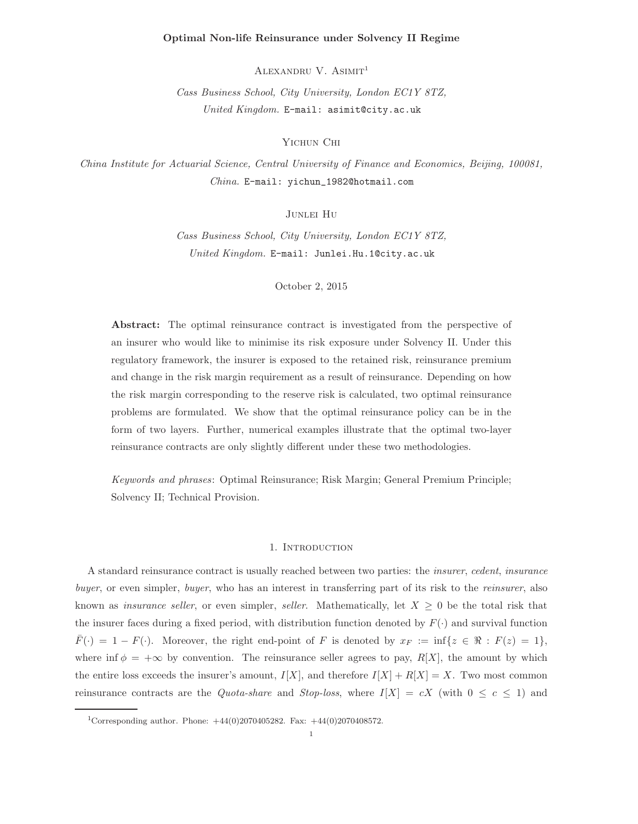#### Optimal Non-life Reinsurance under Solvency II Regime

ALEXANDRU V. ASIMIT<sup>1</sup>

Cass Business School, City University, London EC1Y 8TZ, United Kingdom. E-mail: asimit@city.ac.uk

Yichun Chi

China Institute for Actuarial Science, Central University of Finance and Economics, Beijing, 100081, China. E-mail: yichun\_1982@hotmail.com

Junlei Hu

Cass Business School, City University, London EC1Y 8TZ, United Kingdom. E-mail: Junlei.Hu.1@city.ac.uk

October 2, 2015

Abstract: The optimal reinsurance contract is investigated from the perspective of an insurer who would like to minimise its risk exposure under Solvency II. Under this regulatory framework, the insurer is exposed to the retained risk, reinsurance premium and change in the risk margin requirement as a result of reinsurance. Depending on how the risk margin corresponding to the reserve risk is calculated, two optimal reinsurance problems are formulated. We show that the optimal reinsurance policy can be in the form of two layers. Further, numerical examples illustrate that the optimal two-layer reinsurance contracts are only slightly different under these two methodologies.

Keywords and phrases: Optimal Reinsurance; Risk Margin; General Premium Principle; Solvency II; Technical Provision.

#### 1. Introduction

A standard reinsurance contract is usually reached between two parties: the insurer, cedent, insurance buyer, or even simpler, buyer, who has an interest in transferring part of its risk to the reinsurer, also known as *insurance seller*, or even simpler, *seller*. Mathematically, let  $X \geq 0$  be the total risk that the insurer faces during a fixed period, with distribution function denoted by  $F(\cdot)$  and survival function  $\overline{F}(\cdot) = 1 - F(\cdot)$ . Moreover, the right end-point of F is denoted by  $x_F := \inf\{z \in \Re : F(z) = 1\}$ , where inf  $\phi = +\infty$  by convention. The reinsurance seller agrees to pay, R[X], the amount by which the entire loss exceeds the insurer's amount,  $I[X]$ , and therefore  $I[X] + R[X] = X$ . Two most common reinsurance contracts are the *Quota-share* and *Stop-loss*, where  $I[X] = cX$  (with  $0 \le c \le 1$ ) and

<sup>&</sup>lt;sup>1</sup>Corresponding author. Phone:  $+44(0)2070405282$ . Fax:  $+44(0)2070408572$ .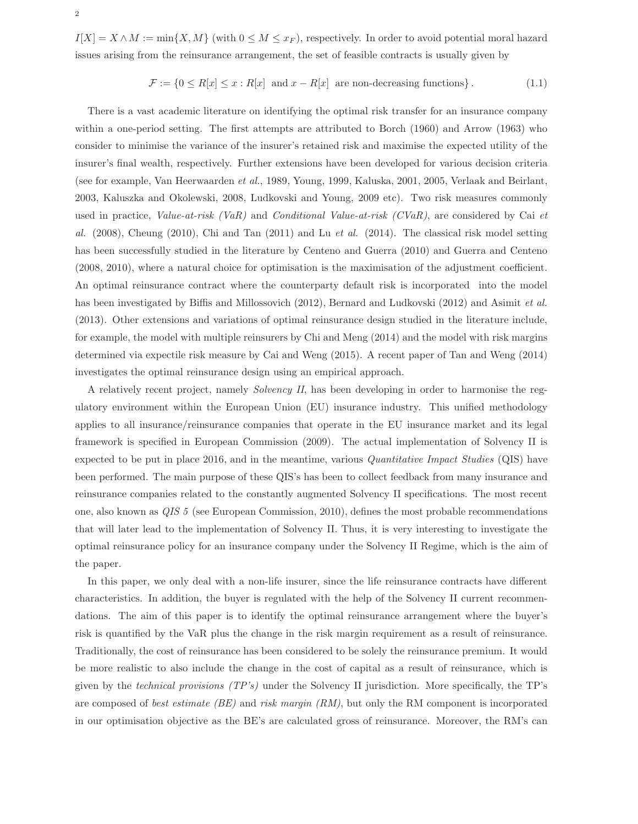$I[X] = X \wedge M := \min\{X, M\}$  (with  $0 \leq M \leq x_F$ ), respectively. In order to avoid potential moral hazard issues arising from the reinsurance arrangement, the set of feasible contracts is usually given by

$$
\mathcal{F} := \{0 \le R[x] \le x : R[x] \text{ and } x - R[x] \text{ are non-decreasing functions}\}.
$$
 (1.1)

There is a vast academic literature on identifying the optimal risk transfer for an insurance company within a one-period setting. The first attempts are attributed to Borch (1960) and Arrow (1963) who consider to minimise the variance of the insurer's retained risk and maximise the expected utility of the insurer's final wealth, respectively. Further extensions have been developed for various decision criteria (see for example, Van Heerwaarden et al., 1989, Young, 1999, Kaluska, 2001, 2005, Verlaak and Beirlant, 2003, Kaluszka and Okolewski, 2008, Ludkovski and Young, 2009 etc). Two risk measures commonly used in practice, Value-at-risk (VaR) and Conditional Value-at-risk (CVaR), are considered by Cai et al.  $(2008)$ , Cheung  $(2010)$ , Chi and Tan  $(2011)$  and Lu et al.  $(2014)$ . The classical risk model setting has been successfully studied in the literature by Centeno and Guerra (2010) and Guerra and Centeno (2008, 2010), where a natural choice for optimisation is the maximisation of the adjustment coefficient. An optimal reinsurance contract where the counterparty default risk is incorporated into the model has been investigated by Biffis and Millossovich (2012), Bernard and Ludkovski (2012) and Asimit et al. (2013). Other extensions and variations of optimal reinsurance design studied in the literature include, for example, the model with multiple reinsurers by Chi and Meng (2014) and the model with risk margins determined via expectile risk measure by Cai and Weng (2015). A recent paper of Tan and Weng (2014) investigates the optimal reinsurance design using an empirical approach.

A relatively recent project, namely Solvency II, has been developing in order to harmonise the regulatory environment within the European Union (EU) insurance industry. This unified methodology applies to all insurance/reinsurance companies that operate in the EU insurance market and its legal framework is specified in European Commission (2009). The actual implementation of Solvency II is expected to be put in place 2016, and in the meantime, various Quantitative Impact Studies (QIS) have been performed. The main purpose of these QIS's has been to collect feedback from many insurance and reinsurance companies related to the constantly augmented Solvency II specifications. The most recent one, also known as QIS 5 (see European Commission, 2010), defines the most probable recommendations that will later lead to the implementation of Solvency II. Thus, it is very interesting to investigate the optimal reinsurance policy for an insurance company under the Solvency II Regime, which is the aim of the paper.

In this paper, we only deal with a non-life insurer, since the life reinsurance contracts have different characteristics. In addition, the buyer is regulated with the help of the Solvency II current recommendations. The aim of this paper is to identify the optimal reinsurance arrangement where the buyer's risk is quantified by the VaR plus the change in the risk margin requirement as a result of reinsurance. Traditionally, the cost of reinsurance has been considered to be solely the reinsurance premium. It would be more realistic to also include the change in the cost of capital as a result of reinsurance, which is given by the technical provisions (TP's) under the Solvency II jurisdiction. More specifically, the TP's are composed of best estimate (BE) and risk margin  $(RM)$ , but only the RM component is incorporated in our optimisation objective as the BE's are calculated gross of reinsurance. Moreover, the RM's can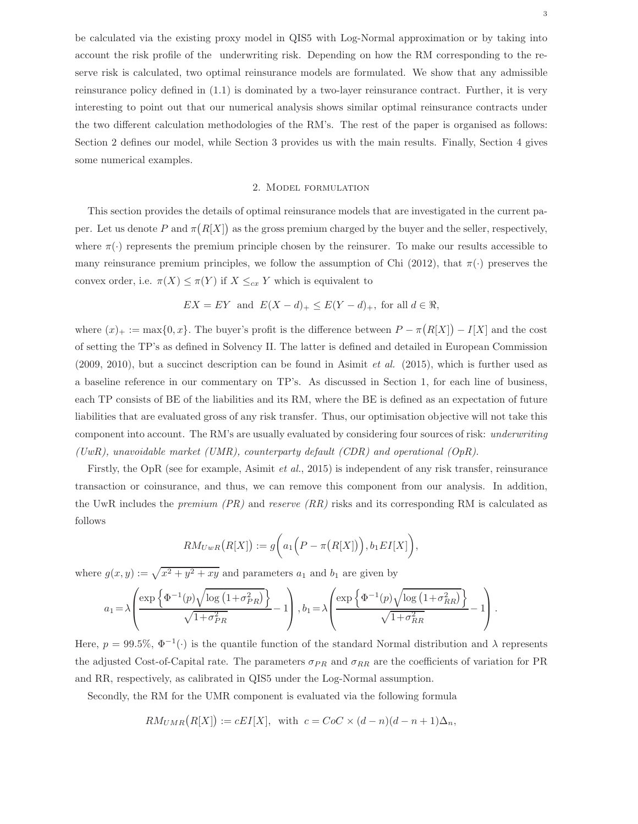be calculated via the existing proxy model in QIS5 with Log-Normal approximation or by taking into account the risk profile of the underwriting risk. Depending on how the RM corresponding to the reserve risk is calculated, two optimal reinsurance models are formulated. We show that any admissible reinsurance policy defined in (1.1) is dominated by a two-layer reinsurance contract. Further, it is very interesting to point out that our numerical analysis shows similar optimal reinsurance contracts under the two different calculation methodologies of the RM's. The rest of the paper is organised as follows: Section 2 defines our model, while Section 3 provides us with the main results. Finally, Section 4 gives some numerical examples.

### 2. Model formulation

This section provides the details of optimal reinsurance models that are investigated in the current paper. Let us denote P and  $\pi(R[X])$  as the gross premium charged by the buyer and the seller, respectively, where  $\pi(\cdot)$  represents the premium principle chosen by the reinsurer. To make our results accessible to many reinsurance premium principles, we follow the assumption of Chi (2012), that  $\pi(\cdot)$  preserves the convex order, i.e.  $\pi(X) \leq \pi(Y)$  if  $X \leq_{cx} Y$  which is equivalent to

$$
EX = EY
$$
 and  $E(X - d)_+ \le E(Y - d)_+$ , for all  $d \in \mathbb{R}$ ,

where  $(x)_+ := \max\{0, x\}$ . The buyer's profit is the difference between  $P - \pi(R[X]) - I[X]$  and the cost of setting the TP's as defined in Solvency II. The latter is defined and detailed in European Commission (2009, 2010), but a succinct description can be found in Asimit et al. (2015), which is further used as a baseline reference in our commentary on TP's. As discussed in Section 1, for each line of business, each TP consists of BE of the liabilities and its RM, where the BE is defined as an expectation of future liabilities that are evaluated gross of any risk transfer. Thus, our optimisation objective will not take this component into account. The RM's are usually evaluated by considering four sources of risk: underwriting (UwR), unavoidable market (UMR), counterparty default (CDR) and operational (OpR).

Firstly, the OpR (see for example, Asimit et al., 2015) is independent of any risk transfer, reinsurance transaction or coinsurance, and thus, we can remove this component from our analysis. In addition, the UwR includes the *premium (PR)* and *reserve (RR)* risks and its corresponding RM is calculated as follows

$$
RM_{UwR}(R[X]) := g\bigg(a_1\Big(P - \pi(R[X])\Big), b_1EI[X]\bigg),
$$

where  $g(x, y) := \sqrt{x^2 + y^2 + xy}$  and parameters  $a_1$  and  $b_1$  are given by

$$
a_1 = \lambda \left( \frac{\exp\left\{\Phi^{-1}(p)\sqrt{\log\left(1+\sigma_{PR}^2\right)}\right\}}{\sqrt{1+\sigma_{PR}^2}} - 1\right), b_1 = \lambda \left( \frac{\exp\left\{\Phi^{-1}(p)\sqrt{\log\left(1+\sigma_{RR}^2\right)}\right\}}{\sqrt{1+\sigma_{RR}^2}} - 1\right).
$$

Here,  $p = 99.5\%, \Phi^{-1}(\cdot)$  is the quantile function of the standard Normal distribution and  $\lambda$  represents the adjusted Cost-of-Capital rate. The parameters  $\sigma_{PR}$  and  $\sigma_{RR}$  are the coefficients of variation for PR and RR, respectively, as calibrated in QIS5 under the Log-Normal assumption.

Secondly, the RM for the UMR component is evaluated via the following formula

$$
RM_{UMR}(R[X]) := cEI[X], \text{ with } c = CoC \times (d-n)(d-n+1)\Delta_n,
$$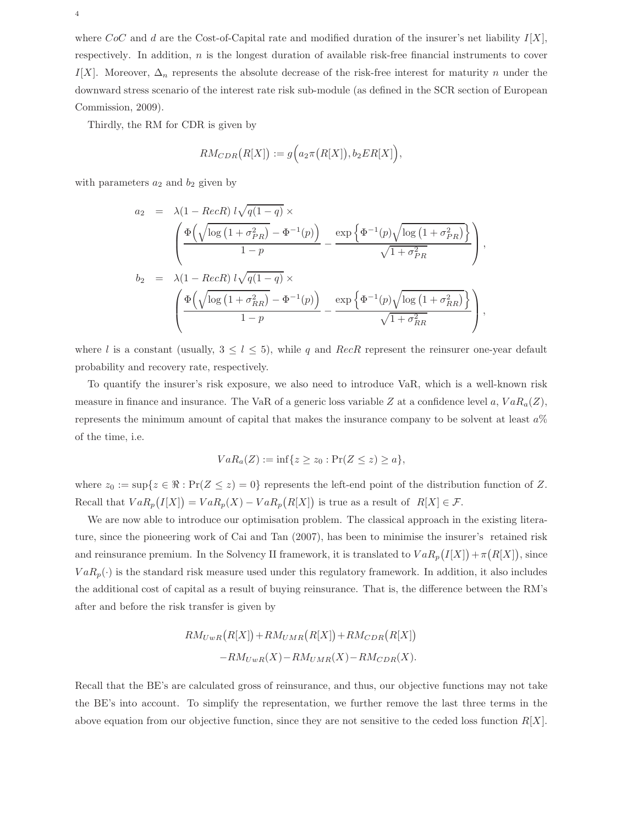where  $CoC$  and d are the Cost-of-Capital rate and modified duration of the insurer's net liability  $I[X]$ , respectively. In addition, n is the longest duration of available risk-free financial instruments to cover I[X]. Moreover,  $\Delta_n$  represents the absolute decrease of the risk-free interest for maturity n under the downward stress scenario of the interest rate risk sub-module (as defined in the SCR section of European Commission, 2009).

Thirdly, the RM for CDR is given by

$$
RM_{CDR}(R[X]) := g\Big(a_2\pi\big(R[X]\big), b_2ER[X]\Big),
$$

with parameters  $a_2$  and  $b_2$  given by

$$
a_2 = \lambda (1 - RecR) l \sqrt{q(1-q)} \times
$$
  
\n
$$
\left( \frac{\Phi\left(\sqrt{\log(1 + \sigma_{PR}^2)} - \Phi^{-1}(p)\right)}{1-p} - \frac{\exp\left\{\Phi^{-1}(p)\sqrt{\log(1 + \sigma_{PR}^2)}\right\}}{\sqrt{1 + \sigma_{PR}^2}} \right),
$$
  
\n
$$
b_2 = \lambda (1 - RecR) l \sqrt{q(1-q)} \times
$$
  
\n
$$
\left( \frac{\Phi\left(\sqrt{\log(1 + \sigma_{RR}^2)} - \Phi^{-1}(p)\right)}{1-p} - \frac{\exp\left\{\Phi^{-1}(p)\sqrt{\log(1 + \sigma_{RR}^2)}\right\}}{\sqrt{1 + \sigma_{RR}^2}} \right),
$$

where l is a constant (usually,  $3 \leq l \leq 5$ ), while q and RecR represent the reinsurer one-year default probability and recovery rate, respectively.

To quantify the insurer's risk exposure, we also need to introduce VaR, which is a well-known risk measure in finance and insurance. The VaR of a generic loss variable Z at a confidence level a,  $VaR_a(Z)$ , represents the minimum amount of capital that makes the insurance company to be solvent at least  $a\%$ of the time, i.e.

$$
VaR_a(Z):=\inf\{z\geq z_0:\Pr(Z\leq z)\geq a\},\
$$

where  $z_0 := \sup\{z \in \mathbb{R} : \Pr(Z \leq z) = 0\}$  represents the left-end point of the distribution function of Z. Recall that  $VaR_p(I[X]) = VaR_p(X) - VaR_p(R[X])$  is true as a result of  $R[X] \in \mathcal{F}$ .

We are now able to introduce our optimisation problem. The classical approach in the existing literature, since the pioneering work of Cai and Tan (2007), has been to minimise the insurer's retained risk and reinsurance premium. In the Solvency II framework, it is translated to  $VaR_p(I[X]) + \pi(R[X])$ , since  $VaR_p(\cdot)$  is the standard risk measure used under this regulatory framework. In addition, it also includes the additional cost of capital as a result of buying reinsurance. That is, the difference between the RM's after and before the risk transfer is given by

$$
RM_{UwR}(R[X]) + RM_{UMR}(R[X]) + RM_{CDR}(R[X])
$$
  
-
$$
RM_{UwR}(X) - RM_{UMR}(X) - RM_{CDR}(X).
$$

Recall that the BE's are calculated gross of reinsurance, and thus, our objective functions may not take the BE's into account. To simplify the representation, we further remove the last three terms in the above equation from our objective function, since they are not sensitive to the ceded loss function  $R[X]$ .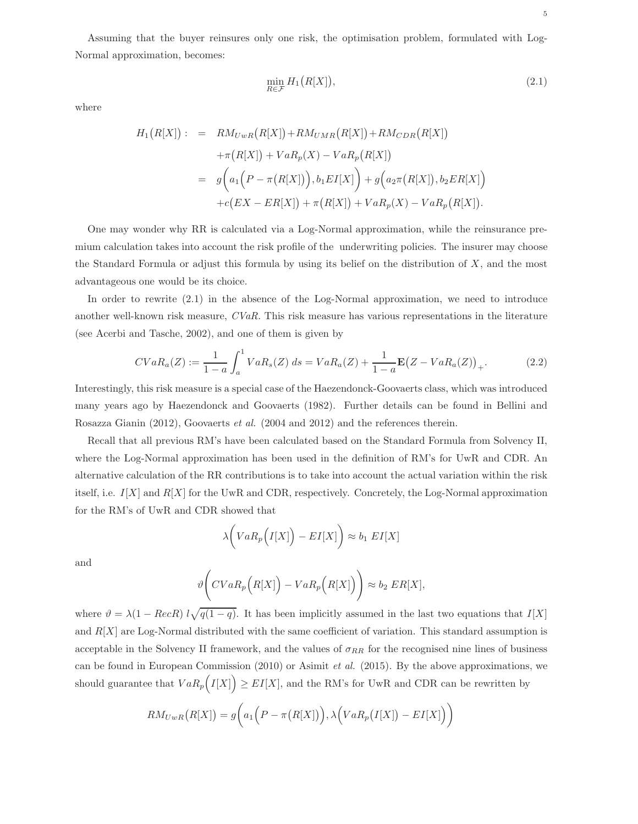Assuming that the buyer reinsures only one risk, the optimisation problem, formulated with Log-Normal approximation, becomes:

$$
\min_{R \in \mathcal{F}} H_1\big(R[X]\big),\tag{2.1}
$$

where

$$
H_1(R[X]) := RM_{UwR}(R[X]) + RM_{UMR}(R[X]) + RM_{CDR}(R[X])
$$
  
+  $\pi(R[X]) + VaR_p(X) - VaR_p(R[X])$   
=  $g(a_1(P - \pi(R[X]))), b_1EI[X]) + g(a_2\pi(R[X]), b_2ER[X])$   
+  $c(EX - ER[X]) + \pi(R[X]) + VaR_p(X) - VaR_p(R[X]).$ 

One may wonder why RR is calculated via a Log-Normal approximation, while the reinsurance premium calculation takes into account the risk profile of the underwriting policies. The insurer may choose the Standard Formula or adjust this formula by using its belief on the distribution of  $X$ , and the most advantageous one would be its choice.

In order to rewrite (2.1) in the absence of the Log-Normal approximation, we need to introduce another well-known risk measure, CVaR. This risk measure has various representations in the literature (see Acerbi and Tasche, 2002), and one of them is given by

$$
CVaR_a(Z) := \frac{1}{1-a} \int_a^1 VaR_s(Z) \, ds = VaR_a(Z) + \frac{1}{1-a} \mathbf{E}(Z - VaR_a(Z))_+.
$$
 (2.2)

Interestingly, this risk measure is a special case of the Haezendonck-Goovaerts class, which was introduced many years ago by Haezendonck and Goovaerts (1982). Further details can be found in Bellini and Rosazza Gianin (2012), Goovaerts et al. (2004 and 2012) and the references therein.

Recall that all previous RM's have been calculated based on the Standard Formula from Solvency II, where the Log-Normal approximation has been used in the definition of RM's for UwR and CDR. An alternative calculation of the RR contributions is to take into account the actual variation within the risk itself, i.e.  $I[X]$  and  $R[X]$  for the UwR and CDR, respectively. Concretely, the Log-Normal approximation for the RM's of UwR and CDR showed that

$$
\lambda \bigg(VaR_p\Big(I[X]\Big)-EI[X]\bigg) \approx b_1 EI[X]
$$

and

$$
\vartheta\bigg(CVaR_p\Big(R[X]\Big)-VaR_p\Big(R[X]\Big)\bigg)\approx b_2 ER[X],
$$

where  $\vartheta = \lambda(1 - RecR) l\sqrt{q(1-q)}$ . It has been implicitly assumed in the last two equations that  $I[X]$ and  $R[X]$  are Log-Normal distributed with the same coefficient of variation. This standard assumption is acceptable in the Solvency II framework, and the values of  $\sigma_{RR}$  for the recognised nine lines of business can be found in European Commission (2010) or Asimit *et al.* (2015). By the above approximations, we should guarantee that  $VaR_p(I[X]) \geq EI[X]$ , and the RM's for UwR and CDR can be rewritten by

$$
RM_{UwR}(R[X]) = g\bigg(a_1\Big(P - \pi(R[X])\Big), \lambda\Big(VaR_p\big(I[X]\big) - EI[X]\Big)\bigg)
$$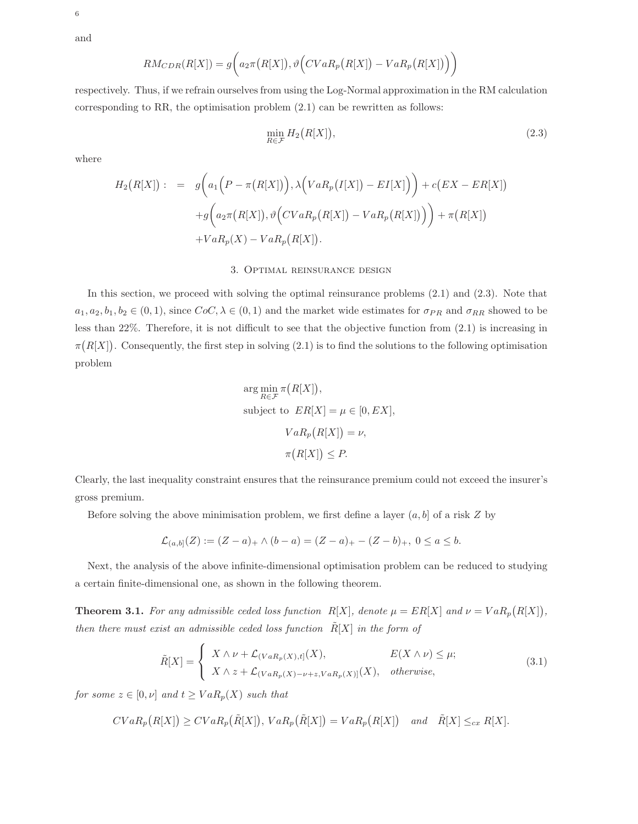and

6

$$
RM_{CDR}(R[X]) = g\bigg(a_2 \pi(R[X]), \vartheta\Big( CVaR_p\big(R[X]\big) - VaR_p\big(R[X]\big)\Big)\bigg)
$$

respectively. Thus, if we refrain ourselves from using the Log-Normal approximation in the RM calculation corresponding to RR, the optimisation problem (2.1) can be rewritten as follows:

$$
\min_{R \in \mathcal{F}} H_2\big(R[X]\big),\tag{2.3}
$$

where

$$
H_2(R[X]): = g\bigg(a_1\bigg(P - \pi(R[X])\bigg), \lambda\bigg(VaR_p(I[X]) - EI[X]\bigg)\bigg) + c\big(EX - ER[X]\big) + g\bigg(a_2\pi(R[X]), \vartheta\bigg(CVaR_p(R[X]) - VaR_p(R[X])\big)\bigg) + \pi(R[X]) + VaR_p(X) - VaR_p(R[X]).
$$

## 3. Optimal reinsurance design

In this section, we proceed with solving the optimal reinsurance problems (2.1) and (2.3). Note that  $a_1, a_2, b_1, b_2 \in (0, 1)$ , since  $CoC, \lambda \in (0, 1)$  and the market wide estimates for  $\sigma_{PR}$  and  $\sigma_{RR}$  showed to be less than 22%. Therefore, it is not difficult to see that the objective function from (2.1) is increasing in  $\pi(R[X])$ . Consequently, the first step in solving (2.1) is to find the solutions to the following optimisation problem

$$
\arg\min_{R\in\mathcal{F}} \pi(R[X]),
$$
  
subject to  $ER[X] = \mu \in [0, EX],$   

$$
VaR_p(R[X]) = \nu,
$$
  

$$
\pi(R[X]) \leq P.
$$

Clearly, the last inequality constraint ensures that the reinsurance premium could not exceed the insurer's gross premium.

Before solving the above minimisation problem, we first define a layer  $(a, b]$  of a risk Z by

$$
\mathcal{L}_{(a,b]}(Z) := (Z - a)_+ \wedge (b - a) = (Z - a)_+ - (Z - b)_+, \ 0 \le a \le b.
$$

Next, the analysis of the above infinite-dimensional optimisation problem can be reduced to studying a certain finite-dimensional one, as shown in the following theorem.

**Theorem 3.1.** For any admissible ceded loss function  $R[X]$ , denote  $\mu = ER[X]$  and  $\nu = VaR_p(R[X])$ , then there must exist an admissible ceded loss function  $\tilde{R}[X]$  in the form of

$$
\tilde{R}[X] = \begin{cases}\nX \wedge \nu + \mathcal{L}_{(VaR_p(X),t]}(X), & E(X \wedge \nu) \leq \mu; \\
X \wedge z + \mathcal{L}_{(VaR_p(X) - \nu + z, VaR_p(X)]}(X), & otherwise,\n\end{cases}
$$
\n(3.1)

for some  $z \in [0, \nu]$  and  $t \geq VaR_p(X)$  such that

$$
CVaR_p(R[X]) \geq CVaR_p(\tilde{R}[X]), VaR_p(\tilde{R}[X]) = VaR_p(R[X]) \text{ and } \tilde{R}[X] \leq_{cx} R[X].
$$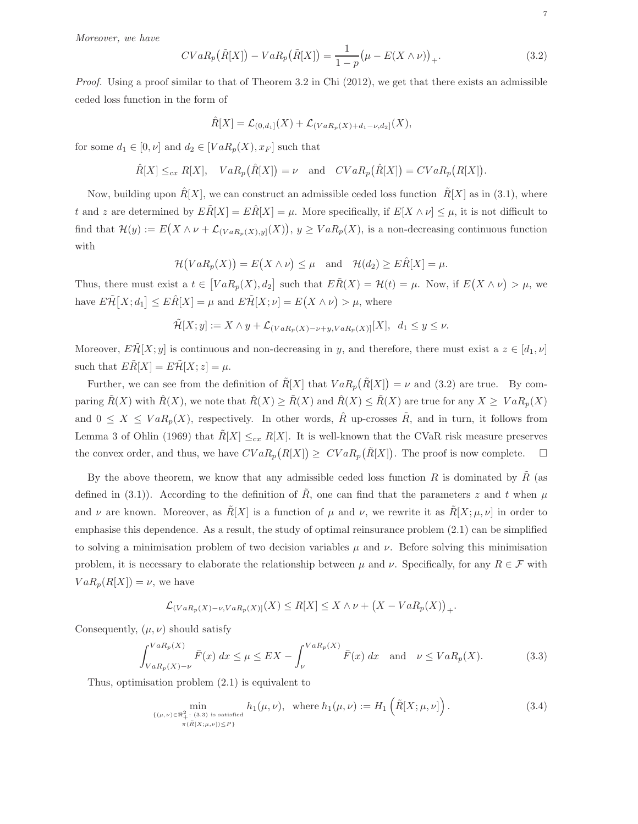Moreover, we have

$$
CVaR_p(\tilde{R}[X]) - VaR_p(\tilde{R}[X]) = \frac{1}{1-p}(\mu - E(X \wedge \nu))_+.
$$
\n(3.2)

Proof. Using a proof similar to that of Theorem 3.2 in Chi (2012), we get that there exists an admissible ceded loss function in the form of

$$
\hat{R}[X] = \mathcal{L}_{(0,d_1]}(X) + \mathcal{L}_{(VaR_p(X)+d_1-\nu,d_2]}(X),
$$

for some  $d_1 \in [0, \nu]$  and  $d_2 \in [VaR_p(X), x_F]$  such that

 $\hat{R}[X] \leq_{cx} R[X], \quad VaR_p(\hat{R}[X]) = \nu \text{ and } CVaR_p(\hat{R}[X]) = CVaR_p(R[X]).$ 

Now, building upon  $\hat{R}[X]$ , we can construct an admissible ceded loss function  $\tilde{R}[X]$  as in (3.1), where t and z are determined by  $E\ddot{R}[X] = E\ddot{R}[X] = \mu$ . More specifically, if  $E[X \wedge \nu] \leq \mu$ , it is not difficult to find that  $\mathcal{H}(y) := E(X \wedge \nu + \mathcal{L}_{(VaR_p(X),y]}(X)), y \geq VaR_p(X)$ , is a non-decreasing continuous function with

$$
\mathcal{H}(VaR_p(X)) = E(X \wedge \nu) \leq \mu \quad \text{and} \quad \mathcal{H}(d_2) \geq E\hat{R}[X] = \mu.
$$

Thus, there must exist a  $t \in [VaR_p(X), d_2]$  such that  $E\tilde{R}(X) = \mathcal{H}(t) = \mu$ . Now, if  $E(X \wedge \nu) > \mu$ , we have  $E\tilde{\mathcal{H}}[X;d_1] \leq E\hat{R}[X] = \mu$  and  $E\tilde{\mathcal{H}}[X;\nu] = E(X \wedge \nu) > \mu$ , where

$$
\tilde{\mathcal{H}}[X; y] := X \wedge y + \mathcal{L}_{(VaR_p(X) - \nu + y, VaR_p(X))}[X], \ d_1 \le y \le \nu.
$$

Moreover,  $E\mathcal{H}[X; y]$  is continuous and non-decreasing in y, and therefore, there must exist a  $z \in [d_1, \nu]$ such that  $E\widetilde{R}[X] = E\widetilde{\mathcal{H}}[X; z] = \mu$ .

Further, we can see from the definition of  $\tilde{R}[X]$  that  $VaR_p(\tilde{R}[X]) = \nu$  and (3.2) are true. By comparing  $\tilde{R}(X)$  with  $\hat{R}(X)$ , we note that  $\hat{R}(X) \ge \tilde{R}(X)$  and  $\hat{R}(X) \le \tilde{R}(X)$  are true for any  $X \ge VaR_p(X)$ and  $0 \leq X \leq VaR_p(X)$ , respectively. In other words,  $\hat{R}$  up-crosses  $\tilde{R}$ , and in turn, it follows from Lemma 3 of Ohlin (1969) that  $R[X] \leq_{cx} R[X]$ . It is well-known that the CVaR risk measure preserves the convex order, and thus, we have  $CVaR_p(R[X]) \geq CVaR_p(\tilde{R}[X])$ . The proof is now complete.  $\square$ 

By the above theorem, we know that any admissible ceded loss function R is dominated by  $\tilde{R}$  (as defined in (3.1)). According to the definition of  $\tilde{R}$ , one can find that the parameters z and t when  $\mu$ and  $\nu$  are known. Moreover, as  $\tilde{R}[X]$  is a function of  $\mu$  and  $\nu$ , we rewrite it as  $\tilde{R}[X; \mu, \nu]$  in order to emphasise this dependence. As a result, the study of optimal reinsurance problem (2.1) can be simplified to solving a minimisation problem of two decision variables  $\mu$  and  $\nu$ . Before solving this minimisation problem, it is necessary to elaborate the relationship between  $\mu$  and  $\nu$ . Specifically, for any  $R \in \mathcal{F}$  with  $VaR_{p}(R[X]) = \nu$ , we have

$$
\mathcal{L}_{(VaR_p(X)-\nu, VaR_p(X)]}(X) \le R[X] \le X \wedge \nu + (X - VaR_p(X))_+.
$$

Consequently,  $(\mu, \nu)$  should satisfy

$$
\int_{VaR_p(X)-\nu}^{VaR_p(X)} \bar{F}(x) dx \le \mu \le EX - \int_{\nu}^{VaR_p(X)} \bar{F}(x) dx \text{ and } \nu \le VaR_p(X). \tag{3.3}
$$

Thus, optimisation problem (2.1) is equivalent to

$$
\min_{\{\mu,\nu\}\in\mathbb{R}^2_+\colon(3.3)\text{ is satisfied}} h_1(\mu,\nu),\ \text{ where } h_1(\mu,\nu):=H_1\left(\tilde{R}[X;\mu,\nu]\right). \tag{3.4}
$$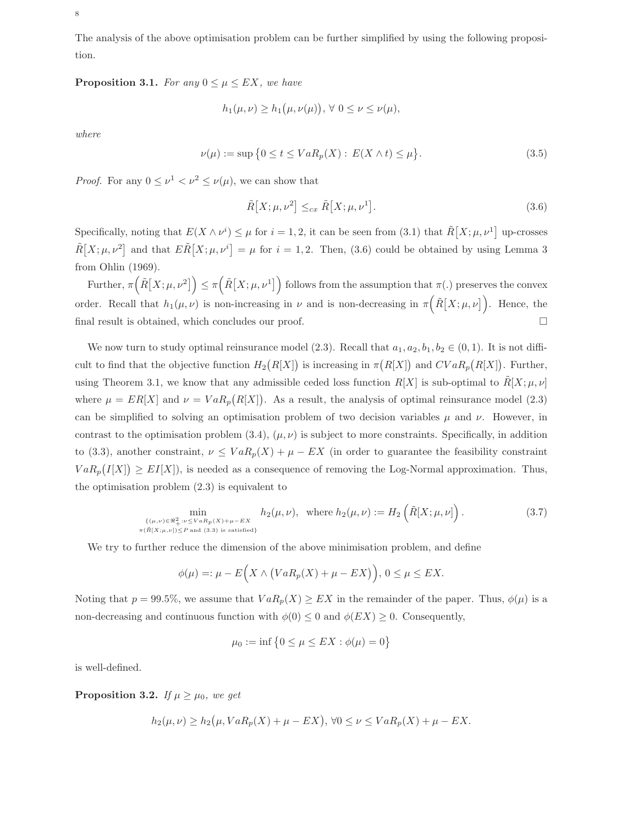The analysis of the above optimisation problem can be further simplified by using the following proposition.

**Proposition 3.1.** For any  $0 \leq \mu \leq EX$ , we have

$$
h_1(\mu,\nu) \ge h_1(\mu,\nu(\mu)), \forall 0 \le \nu \le \nu(\mu),
$$

where

$$
\nu(\mu) := \sup \left\{ 0 \le t \le VaR_p(X) : E(X \wedge t) \le \mu \right\}.
$$
\n(3.5)

*Proof.* For any  $0 \leq \nu^1 < \nu^2 \leq \nu(\mu)$ , we can show that

$$
\tilde{R}[X; \mu, \nu^2] \leq_{cx} \tilde{R}[X; \mu, \nu^1].
$$
\n(3.6)

Specifically, noting that  $E(X \wedge \nu^{i}) \leq \mu$  for  $i = 1, 2$ , it can be seen from (3.1) that  $\tilde{R}[X; \mu, \nu^{1}]$  up-crosses  $\tilde{R}[X;\mu,\nu^2]$  and that  $E\tilde{R}[X;\mu,\nu^i]=\mu$  for  $i=1,2$ . Then, (3.6) could be obtained by using Lemma 3 from Ohlin (1969).

Further,  $\pi(\tilde{R}[X;\mu,\nu^2]) \leq \pi(\tilde{R}[X;\mu,\nu^1])$  follows from the assumption that  $\pi(.)$  preserves the convex order. Recall that  $h_1(\mu,\nu)$  is non-increasing in  $\nu$  and is non-decreasing in  $\pi(\tilde{R}[X;\mu,\nu])$ . Hence, the final result is obtained, which concludes our proof.

We now turn to study optimal reinsurance model (2.3). Recall that  $a_1, a_2, b_1, b_2 \in (0, 1)$ . It is not difficult to find that the objective function  $H_2(R[X])$  is increasing in  $\pi(R[X])$  and  $CVaR_p(R[X])$ . Further, using Theorem 3.1, we know that any admissible ceded loss function  $R[X]$  is sub-optimal to  $\tilde{R}[X; \mu, \nu]$ where  $\mu = ER[X]$  and  $\nu = VaR_p(R[X])$ . As a result, the analysis of optimal reinsurance model (2.3) can be simplified to solving an optimisation problem of two decision variables  $\mu$  and  $\nu$ . However, in contrast to the optimisation problem  $(3.4)$ ,  $(\mu, \nu)$  is subject to more constraints. Specifically, in addition to (3.3), another constraint,  $\nu \leq VaR_p(X) + \mu - EX$  (in order to guarantee the feasibility constraint  $VaR_{p}(I[X]) \geq EI[X]$ , is needed as a consequence of removing the Log-Normal approximation. Thus, the optimisation problem (2.3) is equivalent to

$$
\min_{\substack{\{( \mu,\nu) \in \mathbb{R}_+^2 : \nu \leq V a R_p(X) + \mu - EX \\ \pi(\tilde{R}[X;\mu,\nu]) \leq P \text{ and } (3.3) \text{ is satisfied}\}}} h_2(\mu,\nu), \text{ where } h_2(\mu,\nu) := H_2\left(\tilde{R}[X;\mu,\nu]\right). \tag{3.7}
$$

We try to further reduce the dimension of the above minimisation problem, and define

$$
\phi(\mu) =: \mu - E\Big(X \wedge \big( VaR_p(X) + \mu - EX\big)\Big),\ 0 \le \mu \le EX.
$$

Noting that  $p = 99.5\%$ , we assume that  $VaR<sub>p</sub>(X) \geq EX$  in the remainder of the paper. Thus,  $\phi(\mu)$  is a non-decreasing and continuous function with  $\phi(0) \leq 0$  and  $\phi(EX) \geq 0$ . Consequently,

$$
\mu_0 := \inf \left\{ 0 \le \mu \le EX : \phi(\mu) = 0 \right\}
$$

is well-defined.

**Proposition 3.2.** If  $\mu \geq \mu_0$ , we get

$$
h_2(\mu,\nu) \ge h_2(\mu, VaR_p(X) + \mu - EX), \forall 0 \le \nu \le VaR_p(X) + \mu - EX.
$$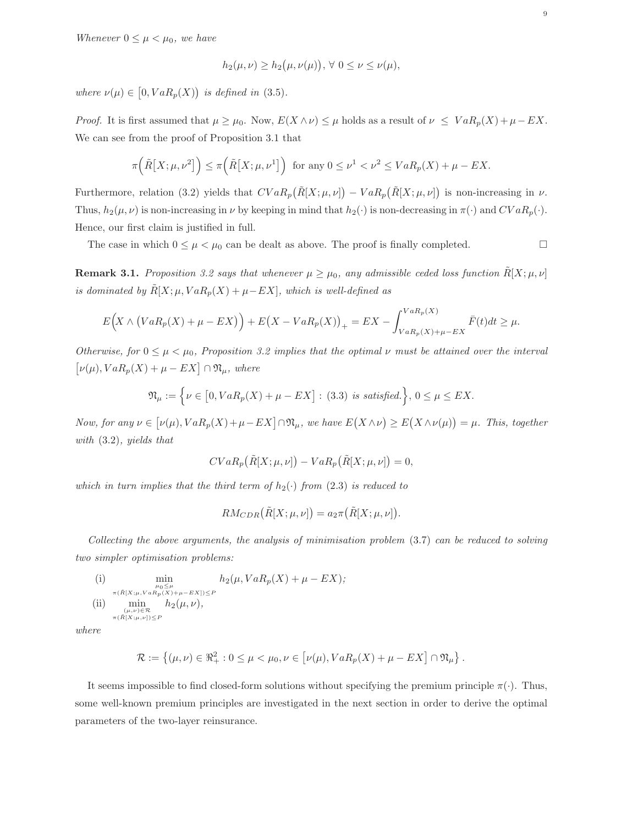Whenever  $0 \leq \mu < \mu_0$ , we have

$$
h_2(\mu,\nu) \ge h_2(\mu,\nu(\mu)), \forall 0 \le \nu \le \nu(\mu),
$$

where  $\nu(\mu) \in [0, VaR_p(X))$  is defined in (3.5).

*Proof.* It is first assumed that  $\mu \geq \mu_0$ . Now,  $E(X \wedge \nu) \leq \mu$  holds as a result of  $\nu \leq VaR_p(X) + \mu - EX$ . We can see from the proof of Proposition 3.1 that

$$
\pi\left(\tilde{R}\big[X;\mu,\nu^2\big]\right) \leq \pi\left(\tilde{R}\big[X;\mu,\nu^1\big]\right) \text{ for any } 0 \leq \nu^1 < \nu^2 \leq VaR_p(X) + \mu - EX.
$$

Furthermore, relation (3.2) yields that  $CVaR_p(\tilde{R}[X;\mu,\nu]) - VaR_p(\tilde{R}[X;\mu,\nu])$  is non-increasing in  $\nu$ . Thus,  $h_2(\mu, \nu)$  is non-increasing in  $\nu$  by keeping in mind that  $h_2(\cdot)$  is non-decreasing in  $\pi(\cdot)$  and  $CVaR_p(\cdot)$ . Hence, our first claim is justified in full.

The case in which  $0 \leq \mu < \mu_0$  can be dealt as above. The proof is finally completed.

**Remark 3.1.** Proposition 3.2 says that whenever  $\mu \geq \mu_0$ , any admissible ceded loss function  $R[X; \mu, \nu]$ is dominated by  $\tilde{R}[X; \mu, VaR_p(X) + \mu - EX],$  which is well-defined as

$$
E(X \wedge (VaR_p(X) + \mu - EX)) + E(X - VaR_p(X))_+ = EX - \int_{VaR_p(X) + \mu - EX}^{VaR_p(X)} \bar{F}(t)dt \ge \mu.
$$

Otherwise, for  $0 \leq \mu < \mu_0$ , Proposition 3.2 implies that the optimal  $\nu$  must be attained over the interval  $[\nu(\mu), VaR_p(X) + \mu - EX] \cap \mathfrak{N}_{\mu}, where$ 

$$
\mathfrak{N}_{\mu} := \left\{ \nu \in [0, VaR_p(X) + \mu - EX] : (3.3) \text{ is satisfied.} \right\}, 0 \le \mu \le EX.
$$

Now, for any  $\nu \in [\nu(\mu), VaR_p(X)+\mu-EX] \cap \mathfrak{N}_{\mu}$ , we have  $E(X \wedge \nu) \geq E(X \wedge \nu(\mu)) = \mu$ . This, together with (3.2), yields that

$$
CVaR_p(\tilde{R}[X; \mu, \nu]) - VaR_p(\tilde{R}[X; \mu, \nu]) = 0,
$$

which in turn implies that the third term of  $h_2(\cdot)$  from (2.3) is reduced to

$$
RM_{CDR}(\tilde{R}[X; \mu, \nu]) = a_2 \pi(\tilde{R}[X; \mu, \nu]).
$$

Collecting the above arguments, the analysis of minimisation problem (3.7) can be reduced to solving two simpler optimisation problems:

(i) 
$$
\min_{\substack{\mu_0 \leq \mu \\ \pi(\tilde{R}[X;\mu,VaR_p(X)+\mu-EX)) \leq P}} h_2(\mu, VaR_p(X) + \mu - EX);
$$
  
\n(ii) 
$$
\min_{\substack{(\mu,\nu) \in \mathcal{R} \\ \pi(\tilde{R}[X;\mu,\nu]) \leq P}} h_2(\mu,\nu),
$$

where

$$
\mathcal{R} := \left\{ (\mu, \nu) \in \Re_+^2 : 0 \leq \mu < \mu_0, \nu \in \left[ \nu(\mu), VaR_p(X) + \mu - EX \right] \cap \Re_\mu \right\}.
$$

It seems impossible to find closed-form solutions without specifying the premium principle  $\pi(\cdot)$ . Thus, some well-known premium principles are investigated in the next section in order to derive the optimal parameters of the two-layer reinsurance.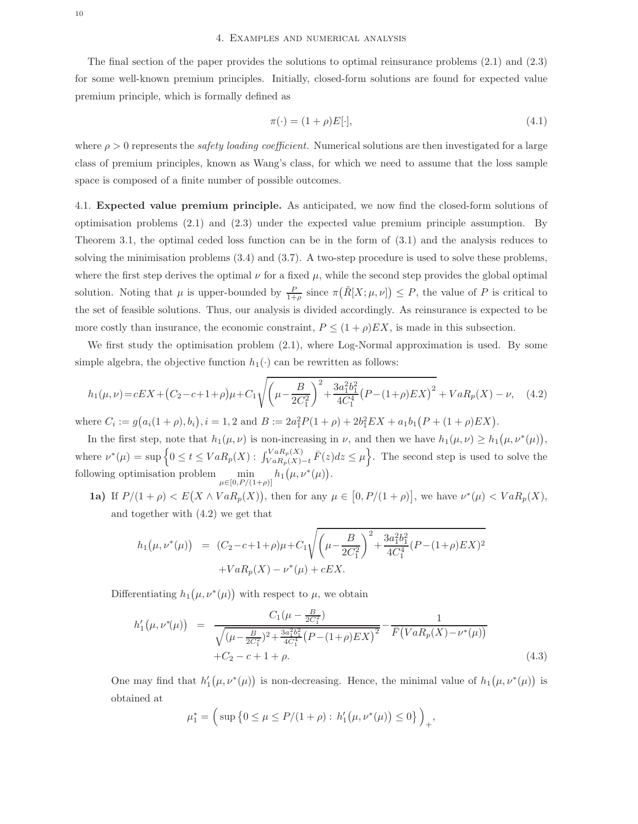The final section of the paper provides the solutions to optimal reinsurance problems (2.1) and (2.3) for some well-known premium principles. Initially, closed-form solutions are found for expected value premium principle, which is formally defined as

$$
\pi(\cdot) = (1+\rho)E[\cdot],\tag{4.1}
$$

where  $\rho > 0$  represents the *safety loading coefficient*. Numerical solutions are then investigated for a large class of premium principles, known as Wang's class, for which we need to assume that the loss sample space is composed of a finite number of possible outcomes.

4.1. Expected value premium principle. As anticipated, we now find the closed-form solutions of optimisation problems (2.1) and (2.3) under the expected value premium principle assumption. By Theorem 3.1, the optimal ceded loss function can be in the form of (3.1) and the analysis reduces to solving the minimisation problems (3.4) and (3.7). A two-step procedure is used to solve these problems, where the first step derives the optimal  $\nu$  for a fixed  $\mu$ , while the second step provides the global optimal solution. Noting that  $\mu$  is upper-bounded by  $\frac{P}{1+\rho}$  since  $\pi(\tilde{R}[X;\mu,\nu]) \leq P$ , the value of P is critical to the set of feasible solutions. Thus, our analysis is divided accordingly. As reinsurance is expected to be more costly than insurance, the economic constraint,  $P \leq (1+\rho)EX$ , is made in this subsection.

We first study the optimisation problem  $(2.1)$ , where Log-Normal approximation is used. By some simple algebra, the objective function  $h_1(\cdot)$  can be rewritten as follows:

$$
h_1(\mu,\nu) = cEX + (C_2 - c + 1 + \rho)\mu + C_1 \sqrt{\left(\mu - \frac{B}{2C_1^2}\right)^2 + \frac{3a_1^2b_1^2}{4C_1^4} \left(P - (1 + \rho)EX\right)^2 + VaR_p(X) - \nu}, \quad (4.2)
$$

where  $C_i := g(a_i(1+\rho), b_i), i = 1, 2$  and  $B := 2a_1^2 P(1+\rho) + 2b_1^2 EX + a_1b_1 (P + (1+\rho)EX)$ .

In the first step, note that  $h_1(\mu, \nu)$  is non-increasing in  $\nu$ , and then we have  $h_1(\mu, \nu) \geq h_1(\mu, \nu^*(\mu)),$ where  $\nu^*(\mu) = \sup \Big\{ 0 \le t \le VaR_p(X) : \int_{VaR_p(X)-t}^{VaR_p(X)} \bar{F}(z) dz \le \mu \Big\}$ . The second step is used to solve the following optimisation problem  $\min_{\mu \in [0, P/(1+\rho)]} h_1(\mu, \nu^*(\mu)).$ 

**1a)** If  $P/(1+\rho) < E(X \wedge VaR_p(X))$ , then for any  $\mu \in [0, P/(1+\rho)]$ , we have  $\nu^*(\mu) < VaR_p(X)$ , and together with (4.2) we get that

$$
h_1(\mu, \nu^*(\mu)) = (C_2 - c + 1 + \rho)\mu + C_1 \sqrt{\left(\mu - \frac{B}{2C_1^2}\right)^2 + \frac{3a_1^2b_1^2}{4C_1^4}(P - (1 + \rho)EX)^2}
$$

$$
+ VaR_p(X) - \nu^*(\mu) + cEX.
$$

Differentiating  $h_1(\mu, \nu^*(\mu))$  with respect to  $\mu$ , we obtain

$$
h'_1(\mu, \nu^*(\mu)) = \frac{C_1(\mu - \frac{B}{2C_1^2})}{\sqrt{(\mu - \frac{B}{2C_1^2})^2 + \frac{3a_1^2b_1^2}{4C_1^4} (P - (1+\rho)EX)^2}} - \frac{1}{\bar{F}(VaR_p(X) - \nu^*(\mu))}
$$
  
+  $C_2 - c + 1 + \rho$ . (4.3)

One may find that  $h'_1(\mu, \nu^*(\mu))$  is non-decreasing. Hence, the minimal value of  $h_1(\mu, \nu^*(\mu))$  is obtained at

$$
\mu_1^* = \left( \sup \left\{ 0 \le \mu \le P/(1+\rho) : h_1'(\mu, \nu^*(\mu)) \le 0 \right\} \right)_+,
$$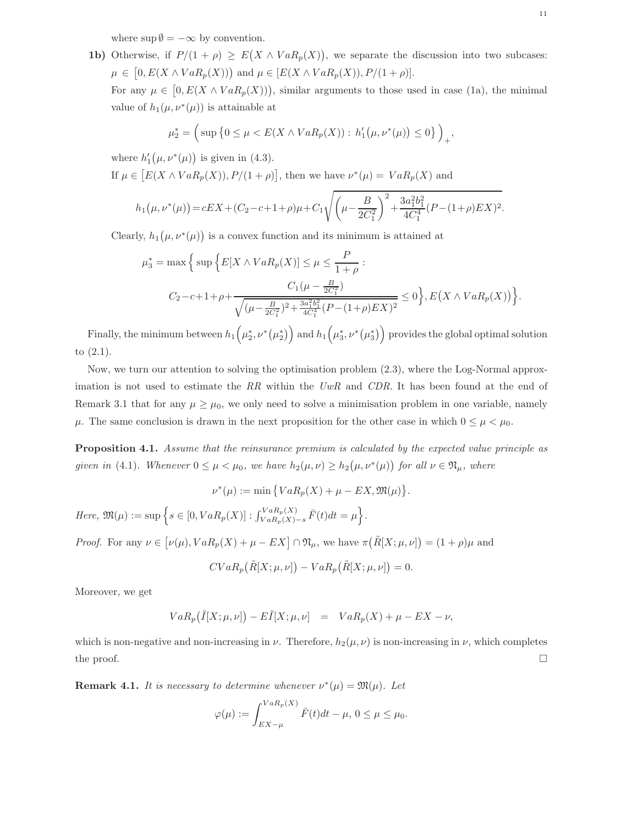where  $\sup \emptyset = -\infty$  by convention.

**1b)** Otherwise, if  $P/(1 + \rho) \ge E(X \wedge VaR_p(X))$ , we separate the discussion into two subcases:  $\mu \in [0, E(X \wedge VaR_p(X))]$  and  $\mu \in [E(X \wedge VaR_p(X)), P/(1+\rho)].$ For any  $\mu \in [0, E(X \wedge VaR_p(X)))$ , similar arguments to those used in case (1a), the minimal value of  $h_1(\mu, \nu^*(\mu))$  is attainable at

$$
\mu_2^* = \left( \sup \left\{ 0 \le \mu < E(X \wedge VaR_p(X)) : h'_1(\mu, \nu^*(\mu)) \le 0 \right\} \right)_+,
$$

where  $h'_1(\mu, \nu^*(\mu))$  is given in (4.3).

If  $\mu \in [E(X \wedge VaR_p(X)), P/(1+\rho)],$  then we have  $\nu^*(\mu) = VaR_p(X)$  and

$$
h_1(\mu, \nu^*(\mu)) = cEX + (C_2 - c + 1 + \rho)\mu + C_1 \sqrt{\left(\mu - \frac{B}{2C_1^2}\right)^2 + \frac{3a_1^2b_1^2}{4C_1^4}(P - (1 + \rho)EX)^2}.
$$

Clearly,  $h_1(\mu, \nu^*(\mu))$  is a convex function and its minimum is attained at

$$
\mu_3^* = \max \Big\{ \sup \Big\{ E[X \wedge VaR_p(X)] \le \mu \le \frac{P}{1+\rho} : \right.
$$
  

$$
C_2 - c + 1 + \rho + \frac{C_1(\mu - \frac{B}{2C_1^2})}{\sqrt{(\mu - \frac{B}{2C_1^2})^2 + \frac{3a_1^2b_1^2}{4C_1^4} (P - (1+\rho)EX)^2}} \le 0 \Big\}, E(X \wedge VaR_p(X)) \Big\}.
$$

Finally, the minimum between  $h_1\left(\mu_2^*,\nu^*\left(\mu_2^*\right)\right)$  and  $h_1\left(\mu_3^*,\nu^*\left(\mu_3^*\right)\right)$  provides the global optimal solution to (2.1).

Now, we turn our attention to solving the optimisation problem (2.3), where the Log-Normal approximation is not used to estimate the RR within the  $UwR$  and  $CDR$ . It has been found at the end of Remark 3.1 that for any  $\mu \geq \mu_0$ , we only need to solve a minimisation problem in one variable, namely  $\mu$ . The same conclusion is drawn in the next proposition for the other case in which  $0 \leq \mu < \mu_0$ .

Proposition 4.1. Assume that the reinsurance premium is calculated by the expected value principle as given in (4.1). Whenever  $0 \leq \mu < \mu_0$ , we have  $h_2(\mu, \nu) \geq h_2(\mu, \nu^*(\mu))$  for all  $\nu \in \mathfrak{N}_{\mu}$ , where

$$
\nu^*(\mu) := \min \big\{ VaR_p(X) + \mu - EX, \mathfrak{M}(\mu) \big\}.
$$

Here,  $\mathfrak{M}(\mu) := \sup \Big\{ s \in [0, VaR_p(X)] : \int_{VaR_p(X)-s}^{VaR_p(X)} \bar{F}(t)dt = \mu \Big\}.$ 

*Proof.* For any  $\nu \in [\nu(\mu), VaR_p(X) + \mu - EX] \cap \mathfrak{N}_{\mu}$ , we have  $\pi(\tilde{R}[X; \mu, \nu]) = (1 + \rho)\mu$  and

$$
CVaR_p(\tilde{R}[X; \mu, \nu]) - VaR_p(\tilde{R}[X; \mu, \nu]) = 0.
$$

Moreover, we get

$$
VaR_p(\tilde{I}[X;\mu,\nu]) - E\tilde{I}[X;\mu,\nu] = VaR_p(X) + \mu - EX - \nu,
$$

which is non-negative and non-increasing in  $\nu$ . Therefore,  $h_2(\mu, \nu)$  is non-increasing in  $\nu$ , which completes the proof.  $\Box$ 

**Remark 4.1.** It is necessary to determine whenever  $\nu^*(\mu) = \mathfrak{M}(\mu)$ . Let

$$
\varphi(\mu) := \int_{EX-\mu}^{VaR_p(X)} \bar{F}(t)dt - \mu, \ 0 \leq \mu \leq \mu_0.
$$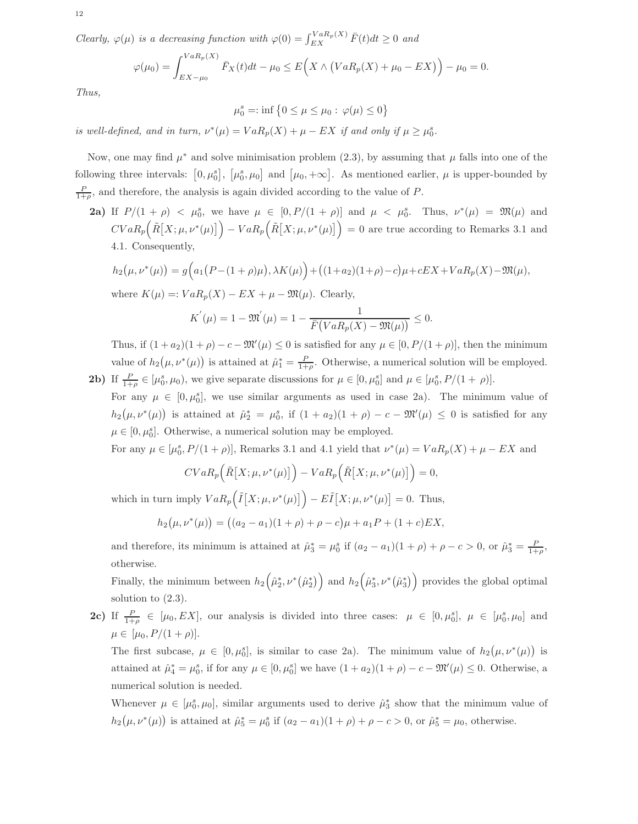12

Clearly,  $\varphi(\mu)$  is a decreasing function with  $\varphi(0) = \int_{EX}^{VaR_p(X)} \bar{F}(t)dt \ge 0$  and

$$
\varphi(\mu_0) = \int_{EX-\mu_0}^{VaR_p(X)} \bar{F}_X(t)dt - \mu_0 \le E\Big(X \wedge \big(VaR_p(X) + \mu_0 - EX\big)\Big) - \mu_0 = 0.
$$

Thus,

$$
\mu_0^s=:\inf\big\{0\leq\mu\leq\mu_0:\,\varphi(\mu)\leq 0\big\}
$$

is well-defined, and in turn,  $\nu^*(\mu) = VaR_p(X) + \mu - EX$  if and only if  $\mu \ge \mu_0^s$ .

Now, one may find  $\mu^*$  and solve minimisation problem (2.3), by assuming that  $\mu$  falls into one of the following three intervals:  $[0, \mu_0^s]$ ,  $[\mu_0^s, \mu_0]$  and  $[\mu_0, +\infty]$ . As mentioned earlier,  $\mu$  is upper-bounded by  $\frac{P}{1+\rho}$ , and therefore, the analysis is again divided according to the value of P.

**2a)** If  $P/(1 + \rho) < \mu_0^s$ , we have  $\mu \in [0, P/(1 + \rho)]$  and  $\mu < \mu_0^s$ . Thus,  $\nu^*(\mu) = \mathfrak{M}(\mu)$  and  $CVaR_p(\tilde{R}[X;\mu,\nu^*(\mu)]) - VaR_p(\tilde{R}[X;\mu,\nu^*(\mu)]) = 0$  are true according to Remarks 3.1 and 4.1. Consequently,

 $h_2(\mu, \nu^*(\mu)) = g(a_1(P - (1 + \rho)\mu), \lambda K(\mu)) + ((1 + a_2)(1 + \rho) - c)\mu + cEX + VaR_p(X) - \mathfrak{M}(\mu),$ where  $K(\mu) =: VaR_n(X) - EX + \mu - \mathfrak{M}(\mu)$ . Clearly,

$$
K^{'}(\mu) = 1 - \mathfrak{M}^{'}(\mu) = 1 - \frac{1}{\bar{F}(VaR_{p}(X) - \mathfrak{M}(\mu))} \leq 0.
$$

Thus, if  $(1 + a_2)(1 + \rho) - c - \mathfrak{M}'(\mu) \leq 0$  is satisfied for any  $\mu \in [0, P/(1 + \rho)],$  then the minimum value of  $h_2(\mu, \nu^*(\mu))$  is attained at  $\hat{\mu}_1^* = \frac{P}{1+\rho}$ . Otherwise, a numerical solution will be employed. **2b)** If  $\frac{P}{1+\rho} \in [\mu_0^s, \mu_0)$ , we give separate discussions for  $\mu \in [0, \mu_0^s]$  and  $\mu \in [\mu_0^s, P/(1+\rho)]$ .

For any  $\mu \in [0, \mu_0^s]$ , we use similar arguments as used in case 2a). The minimum value of  $h_2(\mu, \nu^*(\mu))$  is attained at  $\hat{\mu}_2^* = \mu_0^s$ , if  $(1 + a_2)(1 + \rho) - c - \mathfrak{M}'(\mu) \leq 0$  is satisfied for any  $\mu \in [0, \mu_0^s]$ . Otherwise, a numerical solution may be employed.

For any  $\mu \in [\mu_0^s, P/(1+\rho)],$  Remarks 3.1 and 4.1 yield that  $\nu^*(\mu) = VaR_p(X) + \mu - EX$  and

$$
CVaR_p\left(\tilde{R}[X;\mu,\nu^*(\mu)]\right) - VaR_p\left(\tilde{R}[X;\mu,\nu^*(\mu)]\right) = 0,
$$

which in turn imply  $VaR_p(\tilde{I}[X;\mu,\nu^*(\mu)]) - E\tilde{I}[X;\mu,\nu^*(\mu)] = 0$ . Thus,

$$
h_2(\mu, \nu^*(\mu)) = ((a_2 - a_1)(1 + \rho) + \rho - c)\mu + a_1P + (1 + c)EX,
$$

and therefore, its minimum is attained at  $\hat{\mu}_3^* = \mu_0^s$  if  $(a_2 - a_1)(1 + \rho) + \rho - c > 0$ , or  $\hat{\mu}_3^* = \frac{P}{1 + \rho}$ , otherwise.

Finally, the minimum between  $h_2(\hat{\mu}_2^*, \nu^*(\hat{\mu}_2^*))$  and  $h_2(\hat{\mu}_3^*, \nu^*(\hat{\mu}_3^*))$  provides the global optimal solution to (2.3).

**2c)** If  $\frac{P}{1+\rho} \in [\mu_0, EX]$ , our analysis is divided into three cases:  $\mu \in [0, \mu_0^s]$ ,  $\mu \in [\mu_0^s, \mu_0]$  and  $\mu \in [\mu_0, P/(1+\rho)].$ 

The first subcase,  $\mu \in [0, \mu_0^s]$ , is similar to case 2a). The minimum value of  $h_2(\mu, \nu^*(\mu))$  is attained at  $\hat{\mu}_4^* = \mu_0^s$ , if for any  $\mu \in [0, \mu_0^s]$  we have  $(1 + a_2)(1 + \rho) - c - \mathfrak{M}'(\mu) \leq 0$ . Otherwise, a numerical solution is needed.

Whenever  $\mu \in [\mu_0^s, \mu_0]$ , similar arguments used to derive  $\hat{\mu}_3^*$  show that the minimum value of  $h_2(\mu, \nu^*(\mu))$  is attained at  $\hat{\mu}_5^* = \mu_0^s$  if  $(a_2 - a_1)(1 + \rho) + \rho - c > 0$ , or  $\hat{\mu}_5^* = \mu_0$ , otherwise.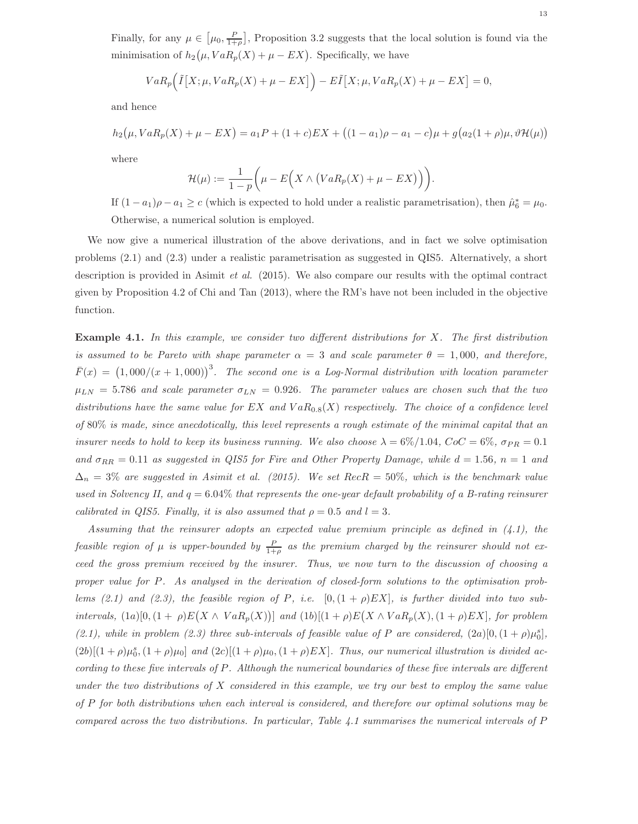Finally, for any  $\mu \in [\mu_0, \frac{P}{1+\rho}],$  Proposition 3.2 suggests that the local solution is found via the minimisation of  $h_2(\mu, VaR_p(X) + \mu - EX)$ . Specifically, we have

$$
VaR_{p}(\tilde{I}[X;\mu,VaR_{p}(X)+\mu -EX]) - E\tilde{I}[X;\mu,VaR_{p}(X)+\mu -EX] = 0,
$$

and hence

$$
h_2(\mu, VaR_p(X) + \mu - EX) = a_1P + (1+c)EX + ((1-a_1)\rho - a_1 - c)\mu + g(a_2(1+\rho)\mu, \vartheta \mathcal{H}(\mu))
$$
  
where

$$
\mathcal{H}(\mu) := \frac{1}{1-p} \bigg( \mu - E\Big(X \wedge \big(VaR_p(X) + \mu - EX\big)\Big)\bigg).
$$

If  $(1 - a_1)\rho - a_1 \ge c$  (which is expected to hold under a realistic parametrisation), then  $\hat{\mu}_6^* = \mu_0$ . Otherwise, a numerical solution is employed.

We now give a numerical illustration of the above derivations, and in fact we solve optimisation problems (2.1) and (2.3) under a realistic parametrisation as suggested in QIS5. Alternatively, a short description is provided in Asimit et al. (2015). We also compare our results with the optimal contract given by Proposition 4.2 of Chi and Tan (2013), where the RM's have not been included in the objective function.

**Example 4.1.** In this example, we consider two different distributions for  $X$ . The first distribution is assumed to be Pareto with shape parameter  $\alpha = 3$  and scale parameter  $\theta = 1,000$ , and therefore,  $\bar{F}(x) = (1,000/(x+1,000))^3$ . The second one is a Log-Normal distribution with location parameter  $\mu_{LN}$  = 5.786 and scale parameter  $\sigma_{LN}$  = 0.926. The parameter values are chosen such that the two distributions have the same value for EX and  $VaR_{0.8}(X)$  respectively. The choice of a confidence level of 80% is made, since anecdotically, this level represents a rough estimate of the minimal capital that an insurer needs to hold to keep its business running. We also choose  $\lambda = 6\%/1.04$ ,  $CoC = 6\%$ ,  $\sigma_{PR} = 0.1$ and  $\sigma_{RR} = 0.11$  as suggested in QIS5 for Fire and Other Property Damage, while  $d = 1.56$ ,  $n = 1$  and  $\Delta_n = 3\%$  are suggested in Asimit et al. (2015). We set RecR = 50%, which is the benchmark value used in Solvency II, and  $q = 6.04\%$  that represents the one-year default probability of a B-rating reinsurer calibrated in QIS5. Finally, it is also assumed that  $\rho = 0.5$  and  $l = 3$ .

Assuming that the reinsurer adopts an expected value premium principle as defined in  $(4.1)$ , the feasible region of  $\mu$  is upper-bounded by  $\frac{P}{1+\rho}$  as the premium charged by the reinsurer should not exceed the gross premium received by the insurer. Thus, we now turn to the discussion of choosing a proper value for P. As analysed in the derivation of closed-form solutions to the optimisation problems (2.1) and (2.3), the feasible region of P, i.e.  $[0,(1+\rho)EX]$ , is further divided into two subintervals,  $(1a)[0,(1+\rho)E(X \wedge VaR_p(X))]$  and  $(1b)[(1+\rho)E(X \wedge VaR_p(X),(1+\rho)EX]$ , for problem (2.1), while in problem (2.3) three sub-intervals of feasible value of P are considered,  $(2a)[0,(1+\rho)\mu_0^s]$ ,  $(2b)[(1+\rho)\mu_0^s,(1+\rho)\mu_0]$  and  $(2c)[(1+\rho)\mu_0,(1+\rho)EX]$ . Thus, our numerical illustration is divided according to these five intervals of P. Although the numerical boundaries of these five intervals are different under the two distributions of  $X$  considered in this example, we try our best to employ the same value of P for both distributions when each interval is considered, and therefore our optimal solutions may be compared across the two distributions. In particular, Table 4.1 summarises the numerical intervals of P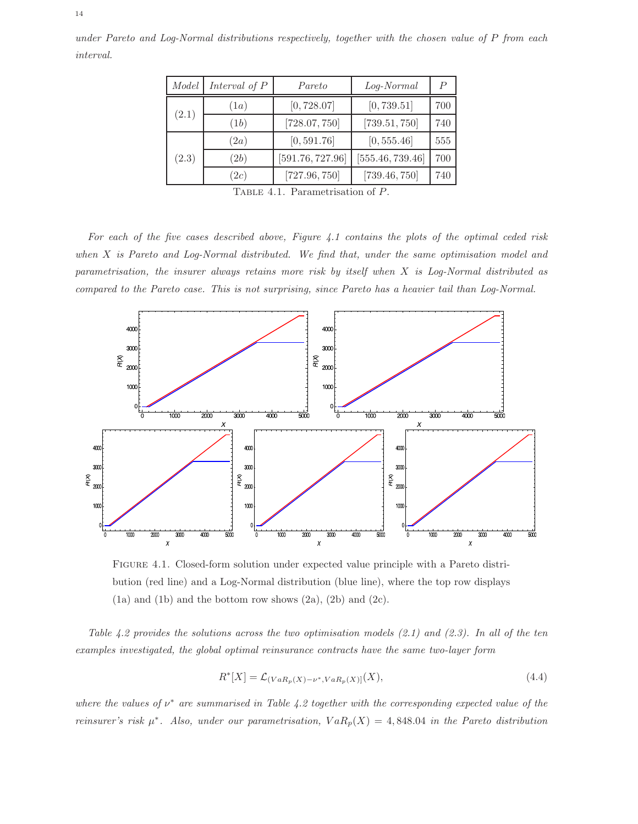| Model | Interval of $P$ | Pareto           | Log-Normal       | P   |
|-------|-----------------|------------------|------------------|-----|
| (2.1) | (1a)            | [0, 728.07]      | [0, 739.51]      | 700 |
|       | (1b)            | [728.07, 750]    | [739.51, 750]    | 740 |
| (2.3) | (2a)            | [0, 591.76]      | [0, 555.46]      | 555 |
|       | (2b)            | [591.76, 727.96] | [555.46, 739.46] | 700 |
|       | 2c)             | [727.96, 750]    | [739.46, 750]    | 740 |

under Pareto and Log-Normal distributions respectively, together with the chosen value of P from each interval.

TABLE 4.1. Parametrisation of P.

For each of the five cases described above, Figure 4.1 contains the plots of the optimal ceded risk when X is Pareto and Log-Normal distributed. We find that, under the same optimisation model and parametrisation, the insurer always retains more risk by itself when X is Log-Normal distributed as compared to the Pareto case. This is not surprising, since Pareto has a heavier tail than Log-Normal.



Figure 4.1. Closed-form solution under expected value principle with a Pareto distribution (red line) and a Log-Normal distribution (blue line), where the top row displays  $(1a)$  and  $(1b)$  and the bottom row shows  $(2a)$ ,  $(2b)$  and  $(2c)$ .

Table 4.2 provides the solutions across the two optimisation models  $(2.1)$  and  $(2.3)$ . In all of the ten examples investigated, the global optimal reinsurance contracts have the same two-layer form

$$
R^*[X] = \mathcal{L}_{(VaR_p(X) - \nu^*, VaR_p(X)]}(X),\tag{4.4}
$$

where the values of  $\nu^*$  are summarised in Table 4.2 together with the corresponding expected value of the reinsurer's risk  $\mu^*$ . Also, under our parametrisation,  $VaR_p(X) = 4,848.04$  in the Pareto distribution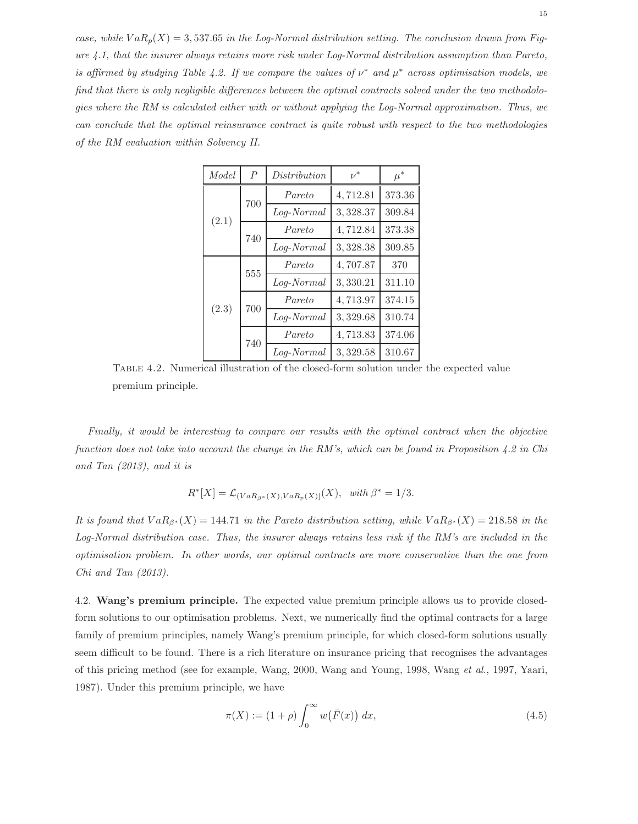case, while  $VaR_p(X) = 3,537.65$  in the Log-Normal distribution setting. The conclusion drawn from Figure 4.1, that the insurer always retains more risk under Log-Normal distribution assumption than Pareto, is affirmed by studying Table 4.2. If we compare the values of  $\nu^*$  and  $\mu^*$  across optimisation models, we find that there is only negligible differences between the optimal contracts solved under the two methodologies where the RM is calculated either with or without applying the Log-Normal approximation. Thus, we can conclude that the optimal reinsurance contract is quite robust with respect to the two methodologies of the RM evaluation within Solvency II.

| Model | $\overline{P}$ | Distribution | $\nu^*$  | $\mu^*$ |
|-------|----------------|--------------|----------|---------|
|       | 700            | Pareto       | 4,712.81 | 373.36  |
| (2.1) |                | Log-Normal   | 3,328.37 | 309.84  |
|       | 740            | Pareto       | 4,712.84 | 373.38  |
|       |                | Log-Normal   | 3,328.38 | 309.85  |
|       | 555            | Pareto       | 4,707.87 | 370     |
|       |                | Log-Normal   | 3,330.21 | 311.10  |
| (2.3) | 700            | Pareto       | 4,713.97 | 374.15  |
|       |                | Log-Normal   | 3,329.68 | 310.74  |
|       | 740            | Pareto       | 4,713.83 | 374.06  |
|       |                | Log-Normal   | 3,329.58 | 310.67  |

Table 4.2. Numerical illustration of the closed-form solution under the expected value premium principle.

Finally, it would be interesting to compare our results with the optimal contract when the objective function does not take into account the change in the RM's, which can be found in Proposition  $4.2$  in Chi and Tan (2013), and it is

$$
R^*[X] = \mathcal{L}_{(VaR_{\beta^*}(X),VaR_p(X)]}(X), \ \ with \ \beta^* = 1/3.
$$

It is found that  $VaR_{\beta^*}(X) = 144.71$  in the Pareto distribution setting, while  $VaR_{\beta^*}(X) = 218.58$  in the Log-Normal distribution case. Thus, the insurer always retains less risk if the RM's are included in the optimisation problem. In other words, our optimal contracts are more conservative than the one from Chi and Tan (2013).

4.2. Wang's premium principle. The expected value premium principle allows us to provide closedform solutions to our optimisation problems. Next, we numerically find the optimal contracts for a large family of premium principles, namely Wang's premium principle, for which closed-form solutions usually seem difficult to be found. There is a rich literature on insurance pricing that recognises the advantages of this pricing method (see for example, Wang, 2000, Wang and Young, 1998, Wang et al., 1997, Yaari, 1987). Under this premium principle, we have

$$
\pi(X) := (1+\rho) \int_0^\infty w(\bar{F}(x)) \, dx,\tag{4.5}
$$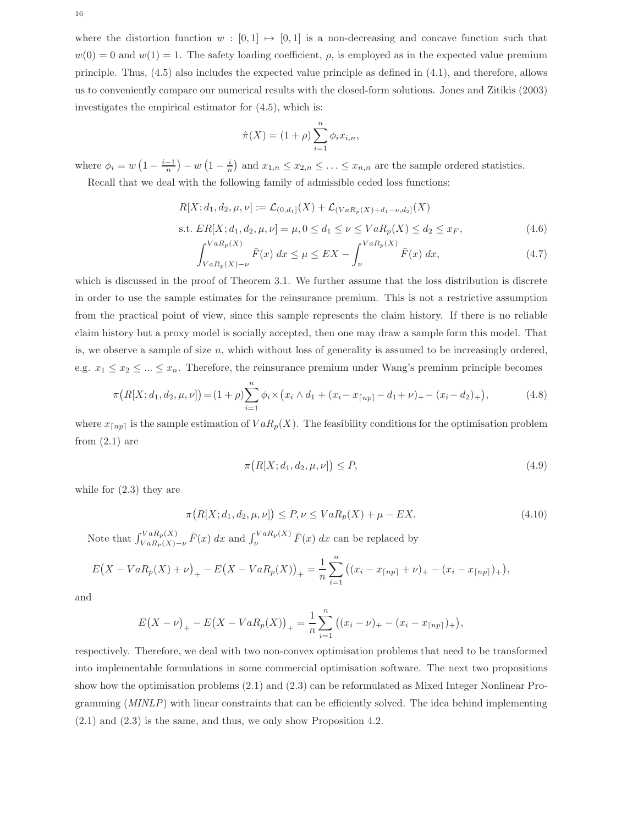where the distortion function  $w : [0, 1] \mapsto [0, 1]$  is a non-decreasing and concave function such that  $w(0) = 0$  and  $w(1) = 1$ . The safety loading coefficient,  $\rho$ , is employed as in the expected value premium principle. Thus, (4.5) also includes the expected value principle as defined in (4.1), and therefore, allows us to conveniently compare our numerical results with the closed-form solutions. Jones and Zitikis (2003) investigates the empirical estimator for (4.5), which is:

$$
\hat{\pi}(X) = (1+\rho) \sum_{i=1}^{n} \phi_i x_{i,n},
$$

where  $\phi_i = w\left(1 - \frac{i-1}{n}\right) - w\left(1 - \frac{i}{n}\right)$  and  $x_{1,n} \le x_{2,n} \le \ldots \le x_{n,n}$  are the sample ordered statistics. Recall that we deal with the following family of admissible ceded loss functions:

$$
R[X; d_1, d_2, \mu, \nu] := \mathcal{L}_{(0,d_1]}(X) + \mathcal{L}_{(VaR_p(X) + d_1 - \nu, d_2]}(X)
$$
  
s.t.  $ER[X; d_1, d_2, \mu, \nu] = \mu, 0 \le d_1 \le \nu \le VaR_p(X) \le d_2 \le x_F,$  (4.6)

$$
\int_{VaR_{p}(X)-\nu}^{VaR_{p}(X)} \bar{F}(x) dx \le \mu \le EX - \int_{\nu}^{VaR_{p}(X)} \bar{F}(x) dx,
$$
\n(4.7)

which is discussed in the proof of Theorem 3.1. We further assume that the loss distribution is discrete in order to use the sample estimates for the reinsurance premium. This is not a restrictive assumption from the practical point of view, since this sample represents the claim history. If there is no reliable claim history but a proxy model is socially accepted, then one may draw a sample form this model. That is, we observe a sample of size  $n$ , which without loss of generality is assumed to be increasingly ordered. e.g.  $x_1 \leq x_2 \leq ... \leq x_n$ . Therefore, the reinsurance premium under Wang's premium principle becomes

$$
\pi(R[X;d_1,d_2,\mu,\nu]) = (1+\rho)\sum_{i=1}^n \phi_i \times (x_i \wedge d_1 + (x_i - x_{\lceil np \rceil} - d_1 + \nu) + -(x_i - d_2) +), \tag{4.8}
$$

where  $x_{\lceil np \rceil}$  is the sample estimation of  $VaR_p(X)$ . The feasibility conditions for the optimisation problem from  $(2.1)$  are

$$
\pi\big(R[X;d_1,d_2,\mu,\nu]\big) \le P,\tag{4.9}
$$

while for (2.3) they are

$$
\pi(R[X;d_1, d_2, \mu, \nu]) \le P, \nu \le VaR_p(X) + \mu - EX. \tag{4.10}
$$

Note that  $\int_{VaR_p(X)-\nu}^{VaR_p(X)} \bar{F}(x) dx$  and  $\int_{\nu}^{VaR_p(X)} \bar{F}(x) dx$  can be replaced by

$$
E(X - VaR_p(X) + \nu)_+ - E(X - VaR_p(X))_+ = \frac{1}{n} \sum_{i=1}^n ((x_i - x_{\lceil np \rceil} + \nu)_+ - (x_i - x_{\lceil np \rceil})_+),
$$

and

$$
E(X - \nu)_{+} - E(X - VaR_{p}(X))_{+} = \frac{1}{n} \sum_{i=1}^{n} ((x_{i} - \nu)_{+} - (x_{i} - x_{\lceil np \rceil})_{+}),
$$

respectively. Therefore, we deal with two non-convex optimisation problems that need to be transformed into implementable formulations in some commercial optimisation software. The next two propositions show how the optimisation problems (2.1) and (2.3) can be reformulated as Mixed Integer Nonlinear Programming (MINLP) with linear constraints that can be efficiently solved. The idea behind implementing (2.1) and (2.3) is the same, and thus, we only show Proposition 4.2.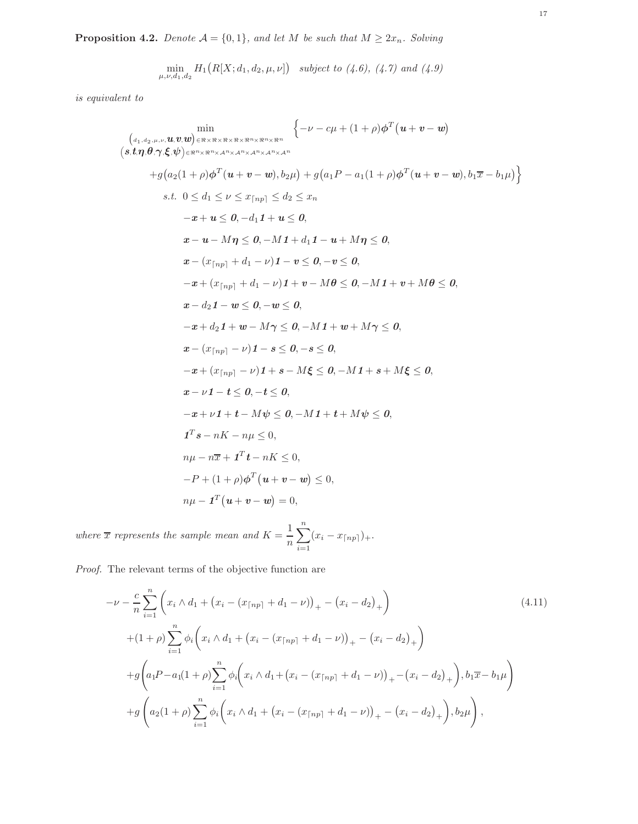**Proposition 4.2.** Denote  $A = \{0, 1\}$ , and let M be such that  $M \geq 2x_n$ . Solving

$$
\min_{\mu,\nu,d_1,d_2} H_1(R[X;d_1,d_2,\mu,\nu]) \text{ subject to } (4.6), (4.7) \text{ and } (4.9)
$$

is equivalent to

$$
\begin{aligned}\n&\min_{\left(a_1, a_2, \mu, \nu, \mathbf{u}, \mathbf{v}, \mathbf{w}\right) \in \mathbb{R} \times \mathbb{R} \times \mathbb{R}^{n} \times \mathbb{R}^{n} \times \mathbb{R}^{n}} \left\{ -\nu - c\mu + (1 + \rho)\phi^{T}(u + v - w) \\
&\left(s, t, \eta, \theta, \gamma, \xi, \psi\right) \in \mathbb{R}^{n} \times \mathbb{R}^{n} \times \mathbb{R}^{n} \times \mathbb{R}^{n} \times \mathbb{R}^{n} \times \mathbb{R}^{n}} \right. \\
&\left. + g\left(a_2(1 + \rho)\phi^{T}(u + v - w), b_2\mu\right) + g\left(a_1 P - a_1(1 + \rho)\phi^{T}(u + v - w), b_1 \overline{x} - b_1\mu\right)\right\} \\
&\text{s.t. } 0 \le d_1 \le \nu \le x_{\lceil np \rceil} \le d_2 \le x_n \\
&\quad - x + u \le 0, -d_1 1 + u \le 0, \\
&\quad x - u - M\eta \le 0, -M\mathbf{1} + d_1 - u + M\eta \le 0, \\
&\quad x - (x_{\lceil np \rceil} + d_1 - \nu)\mathbf{1} - v \le 0, -v \le 0, \\
&\quad - x + (x_{\lceil np \rceil} + d_1 - \nu)\mathbf{1} + v - M\theta \le 0, -M\mathbf{1} + v + M\theta \le 0, \\
&\quad x - d_2 \mathbf{1} - w \le 0, -w \le 0, \\
&\quad - x + d_2 \mathbf{1} + w - M\eta \le 0, -M\mathbf{1} + w + M\eta \le 0, \\
&\quad x - (x_{\lceil np \rceil} - \nu)\mathbf{1} - s \le 0, -s \le 0, \\
&\quad - x + (x_{\lceil np \rceil} - \nu)\mathbf{1} + s - M\xi \le 0, -M\mathbf{1} + s + M\xi \le 0, \\
&\quad - x + \nu\mathbf{1} + t - M\psi \le 0, -M\mathbf{1} + t + M\psi \le 0, \\
&\quad x - \nu\mathbf{1} - t \le 0, -t \le 0, \\
&\quad
$$

where  $\overline{x}$  represents the sample mean and  $K = \frac{1}{x}$ n  $\sum_{n=1}^{\infty}$  $i=1$  $(x_i - x_{\lceil np \rceil})_+.$ 

Proof. The relevant terms of the objective function are

$$
-\nu - \frac{c}{n} \sum_{i=1}^{n} \left( x_i \wedge d_1 + (x_i - (x_{\lceil np \rceil} + d_1 - \nu))_+ - (x_i - d_2)_+ \right)
$$
\n
$$
+ (1 + \rho) \sum_{i=1}^{n} \phi_i \left( x_i \wedge d_1 + (x_i - (x_{\lceil np \rceil} + d_1 - \nu))_+ - (x_i - d_2)_+ \right)
$$
\n
$$
+ g \left( a_1 P - a_1 (1 + \rho) \sum_{i=1}^{n} \phi_i \left( x_i \wedge d_1 + (x_i - (x_{\lceil np \rceil} + d_1 - \nu))_+ - (x_i - d_2)_+ \right), b_1 \overline{x} - b_1 \mu \right)
$$
\n
$$
+ g \left( a_2 (1 + \rho) \sum_{i=1}^{n} \phi_i \left( x_i \wedge d_1 + (x_i - (x_{\lceil np \rceil} + d_1 - \nu))_+ - (x_i - d_2)_+ \right), b_2 \mu \right),
$$
\n
$$
(4.11)
$$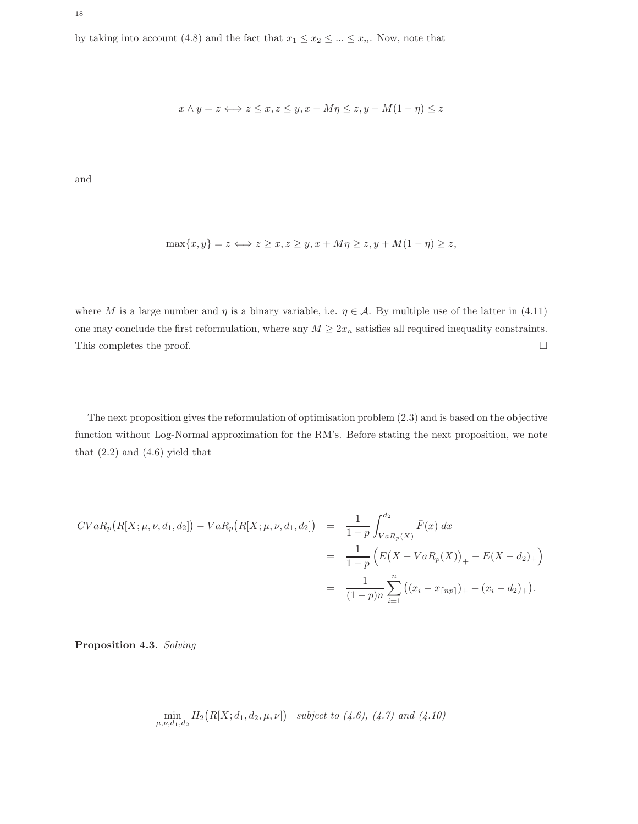$$
x \wedge y = z \Longleftrightarrow z \leq x, z \leq y, x - M\eta \leq z, y - M(1 - \eta) \leq z
$$

and

$$
\max\{x, y\} = z \Longleftrightarrow z \ge x, z \ge y, x + M\eta \ge z, y + M(1 - \eta) \ge z,
$$

where M is a large number and  $\eta$  is a binary variable, i.e.  $\eta \in \mathcal{A}$ . By multiple use of the latter in (4.11) one may conclude the first reformulation, where any  $M \geq 2x_n$  satisfies all required inequality constraints. This completes the proof.  $\hfill \square$ 

The next proposition gives the reformulation of optimisation problem (2.3) and is based on the objective function without Log-Normal approximation for the RM's. Before stating the next proposition, we note that  $(2.2)$  and  $(4.6)$  yield that

$$
CVaR_p(R[X; \mu, \nu, d_1, d_2]) - VaR_p(R[X; \mu, \nu, d_1, d_2]) = \frac{1}{1-p} \int_{VaR_p(X)}^{d_2} \bar{F}(x) dx
$$
  

$$
= \frac{1}{1-p} \left( E(X - VaR_p(X))_+ - E(X - d_2)_+ \right)
$$
  

$$
= \frac{1}{(1-p)n} \sum_{i=1}^n \left( (x_i - x_{\lceil np \rceil})_+ - (x_i - d_2)_+ \right).
$$

Proposition 4.3. Solving

$$
\min_{\mu,\nu,d_1,d_2} H_2(R[X;d_1,d_2,\mu,\nu]) \text{ subject to } (4.6), (4.7) \text{ and } (4.10)
$$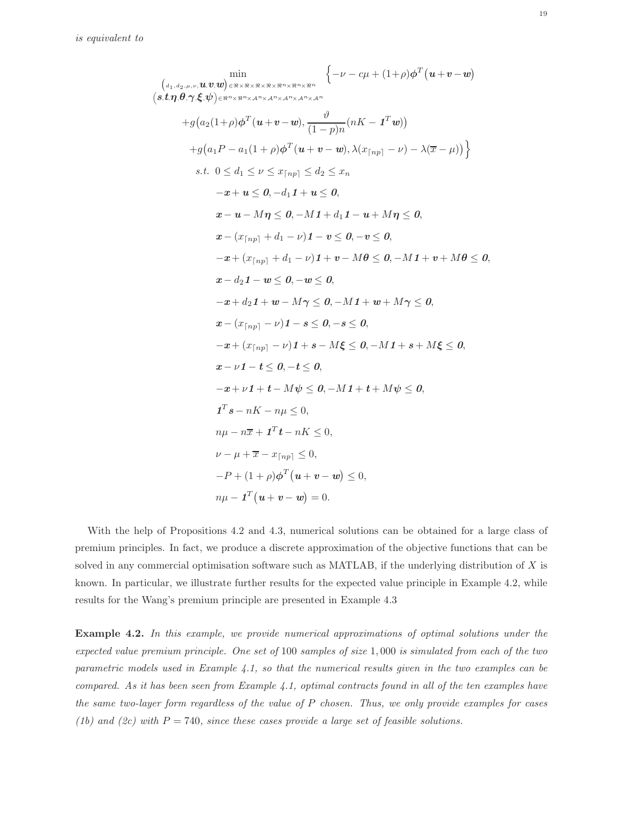$$
\begin{aligned}\n&\min_{\left(a_1, a_2, \mu, \nu, \mathbf{u}, \mathbf{u}, \mathbf{v}, \mathbf{w}\right) \in \mathbb{R} \times \mathbb{R} \times \mathbb{R}^{n} \times \mathbb{R}^{n} \times \mathbb{R}^{n}} \left\{-\nu - c\mu + (1+\rho)\phi^{T}(\mathbf{u}+\mathbf{v}-\mathbf{w})\right. \\
&\left.s.t.\eta, \theta, \gamma, \xi, \psi\right) \in \mathbb{R}^{n} \times \mathbb{R}^{n} \times \mathbb{A}^{n} \times \mathbb{A}^{n} \times \mathbb{A}^{n} \times \mathbb{A}^{n}} \left\{ -\nu - c\mu + (1+\rho)\phi^{T}(\mathbf{u}+\mathbf{v}-\mathbf{w})\right. \\
&+ g\big(a_2(1+\rho)\phi^{T}(\mathbf{u}+\mathbf{v}-\mathbf{w}), \lambda(x_{\lceil np\rceil}-\nu) - \lambda(\overline{x}-\mu)\big)\right\} \\
&+ g\big(a_1P - a_1(1+\rho)\phi^{T}(\mathbf{u}+\mathbf{v}-\mathbf{w}), \lambda(x_{\lceil np\rceil}-\nu) - \lambda(\overline{x}-\mu)\big)\right\} \\
&s.t. & 0 \leq d_1 \leq \nu \leq x_{\lceil np\rceil} \leq d_2 \leq x_n \\
&-x + u \leq 0, -d_1\mathbf{1} + u \leq 0, \\
&x - u - M\eta \leq 0, -M\mathbf{1} + d_1\mathbf{1} - \mathbf{u} + M\eta \leq 0, \\
&x - (x_{\lceil np\rceil} + d_1 - \nu)\mathbf{1} - \mathbf{v} \leq 0, -\mathbf{v} \leq 0, \\
&-x + (x_{\lceil np\rceil} + d_1 - \nu)\mathbf{1} + \mathbf{v} - M\theta \leq 0, -M\mathbf{1} + \mathbf{v} + M\theta \leq 0, \\
&x - d_2\mathbf{1} - \mathbf{w} \leq 0, -\mathbf{w} \leq 0, \\
&-x + d_2\mathbf{1} + \mathbf{w} - M\gamma \leq 0, -M\mathbf{1} + \mathbf{w} + M\gamma \leq 0, \\
&x - (x_{\lceil
$$

With the help of Propositions 4.2 and 4.3, numerical solutions can be obtained for a large class of premium principles. In fact, we produce a discrete approximation of the objective functions that can be solved in any commercial optimisation software such as MATLAB, if the underlying distribution of  $X$  is known. In particular, we illustrate further results for the expected value principle in Example 4.2, while results for the Wang's premium principle are presented in Example 4.3

Example 4.2. In this example, we provide numerical approximations of optimal solutions under the expected value premium principle. One set of 100 samples of size 1, 000 is simulated from each of the two parametric models used in Example 4.1, so that the numerical results given in the two examples can be compared. As it has been seen from Example 4.1, optimal contracts found in all of the ten examples have the same two-layer form regardless of the value of P chosen. Thus, we only provide examples for cases (1b) and (2c) with  $P = 740$ , since these cases provide a large set of feasible solutions.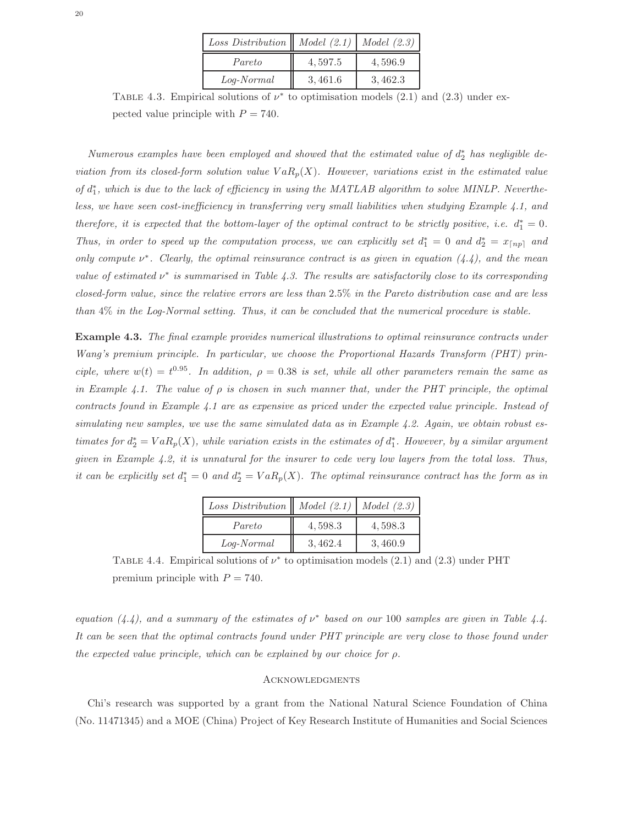| Loss Distribution    Model $(2.1)$   Model $(2.3)$ |         |         |
|----------------------------------------------------|---------|---------|
| Pareto                                             | 4,597.5 | 4,596.9 |
| Log-Normal                                         | 3,461.6 | 3,462.3 |

TABLE 4.3. Empirical solutions of  $\nu^*$  to optimisation models (2.1) and (2.3) under expected value principle with  $P = 740$ .

Numerous examples have been employed and showed that the estimated value of  $d_2^*$  has negligible deviation from its closed-form solution value  $VaR_p(X)$ . However, variations exist in the estimated value of  $d_1^*$ , which is due to the lack of efficiency in using the MATLAB algorithm to solve MINLP. Nevertheless, we have seen cost-inefficiency in transferring very small liabilities when studying Example 4.1, and therefore, it is expected that the bottom-layer of the optimal contract to be strictly positive, i.e.  $d_1^* = 0$ . Thus, in order to speed up the computation process, we can explicitly set  $d_1^* = 0$  and  $d_2^* = x_{\lceil np \rceil}$  and only compute  $\nu^*$ . Clearly, the optimal reinsurance contract is as given in equation (4.4), and the mean value of estimated  $\nu^*$  is summarised in Table 4.3. The results are satisfactorily close to its corresponding closed-form value, since the relative errors are less than 2.5% in the Pareto distribution case and are less than 4% in the Log-Normal setting. Thus, it can be concluded that the numerical procedure is stable.

Example 4.3. The final example provides numerical illustrations to optimal reinsurance contracts under Wang's premium principle. In particular, we choose the Proportional Hazards Transform (PHT) principle, where  $w(t) = t^{0.95}$ . In addition,  $\rho = 0.38$  is set, while all other parameters remain the same as in Example 4.1. The value of  $\rho$  is chosen in such manner that, under the PHT principle, the optimal contracts found in Example 4.1 are as expensive as priced under the expected value principle. Instead of simulating new samples, we use the same simulated data as in Example 4.2. Again, we obtain robust estimates for  $d_2^* = VaR_p(X)$ , while variation exists in the estimates of  $d_1^*$ . However, by a similar argument given in Example  $4.2$ , it is unnatural for the insurer to cede very low layers from the total loss. Thus, it can be explicitly set  $d_1^* = 0$  and  $d_2^* = VaR_p(X)$ . The optimal reinsurance contract has the form as in

| Loss Distribution    Model $(2.1)$ |         | Model $(2.3)$ |
|------------------------------------|---------|---------------|
| Pareto                             | 4,598.3 | 4,598.3       |
| Log-Normal                         | 3.462.4 | 3.460.9       |

TABLE 4.4. Empirical solutions of  $\nu^*$  to optimisation models (2.1) and (2.3) under PHT premium principle with  $P = 740$ .

equation (4.4), and a summary of the estimates of  $\nu^*$  based on our 100 samples are given in Table 4.4. It can be seen that the optimal contracts found under PHT principle are very close to those found under the expected value principle, which can be explained by our choice for ρ.

#### **ACKNOWLEDGMENTS**

Chi's research was supported by a grant from the National Natural Science Foundation of China (No. 11471345) and a MOE (China) Project of Key Research Institute of Humanities and Social Sciences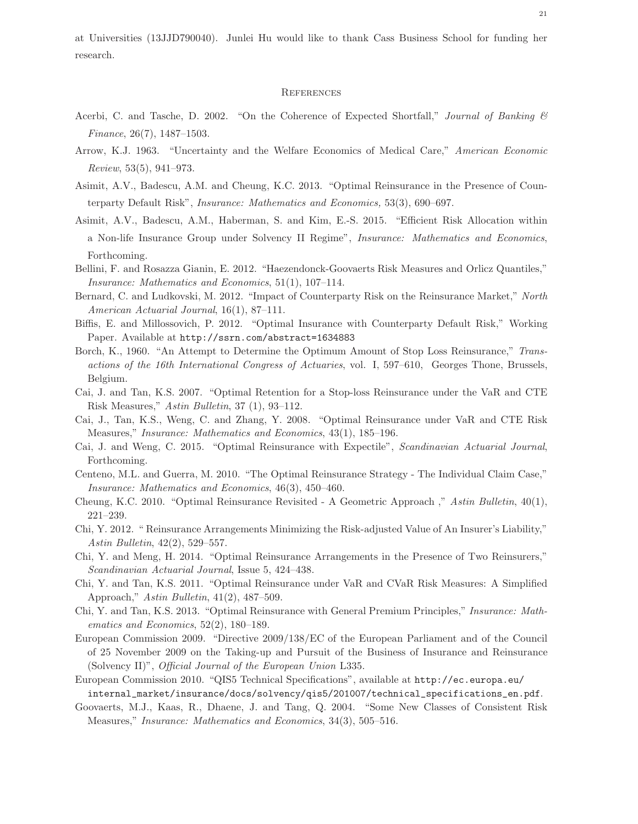at Universities (13JJD790040). Junlei Hu would like to thank Cass Business School for funding her research.

#### **REFERENCES**

- Acerbi, C. and Tasche, D. 2002. "On the Coherence of Expected Shortfall," Journal of Banking & Finance, 26(7), 1487–1503.
- Arrow, K.J. 1963. "Uncertainty and the Welfare Economics of Medical Care," American Economic Review, 53(5), 941–973.
- Asimit, A.V., Badescu, A.M. and Cheung, K.C. 2013. "Optimal Reinsurance in the Presence of Counterparty Default Risk", Insurance: Mathematics and Economics, 53(3), 690–697.
- Asimit, A.V., Badescu, A.M., Haberman, S. and Kim, E.-S. 2015. "Efficient Risk Allocation within a Non-life Insurance Group under Solvency II Regime", Insurance: Mathematics and Economics, Forthcoming.
- Bellini, F. and Rosazza Gianin, E. 2012. "Haezendonck-Goovaerts Risk Measures and Orlicz Quantiles," Insurance: Mathematics and Economics, 51(1), 107–114.
- Bernard, C. and Ludkovski, M. 2012. "Impact of Counterparty Risk on the Reinsurance Market," North American Actuarial Journal, 16(1), 87–111.
- Biffis, E. and Millossovich, P. 2012. "Optimal Insurance with Counterparty Default Risk," Working Paper. Available at http://ssrn.com/abstract=1634883
- Borch, K., 1960. "An Attempt to Determine the Optimum Amount of Stop Loss Reinsurance," Transactions of the 16th International Congress of Actuaries, vol. I, 597–610, Georges Thone, Brussels, Belgium.
- Cai, J. and Tan, K.S. 2007. "Optimal Retention for a Stop-loss Reinsurance under the VaR and CTE Risk Measures," Astin Bulletin, 37 (1), 93–112.
- Cai, J., Tan, K.S., Weng, C. and Zhang, Y. 2008. "Optimal Reinsurance under VaR and CTE Risk Measures," Insurance: Mathematics and Economics, 43(1), 185–196.
- Cai, J. and Weng, C. 2015. "Optimal Reinsurance with Expectile", Scandinavian Actuarial Journal, Forthcoming.
- Centeno, M.L. and Guerra, M. 2010. "The Optimal Reinsurance Strategy The Individual Claim Case," Insurance: Mathematics and Economics, 46(3), 450–460.
- Cheung, K.C. 2010. "Optimal Reinsurance Revisited A Geometric Approach ," Astin Bulletin, 40(1), 221–239.
- Chi, Y. 2012. " Reinsurance Arrangements Minimizing the Risk-adjusted Value of An Insurer's Liability," Astin Bulletin, 42(2), 529–557.
- Chi, Y. and Meng, H. 2014. "Optimal Reinsurance Arrangements in the Presence of Two Reinsurers," Scandinavian Actuarial Journal, Issue 5, 424–438.
- Chi, Y. and Tan, K.S. 2011. "Optimal Reinsurance under VaR and CVaR Risk Measures: A Simplified Approach," Astin Bulletin, 41(2), 487–509.
- Chi, Y. and Tan, K.S. 2013. "Optimal Reinsurance with General Premium Principles," Insurance: Mathematics and Economics, 52(2), 180–189.
- European Commission 2009. "Directive 2009/138/EC of the European Parliament and of the Council of 25 November 2009 on the Taking-up and Pursuit of the Business of Insurance and Reinsurance (Solvency II)", Official Journal of the European Union L335.
- European Commission 2010. "QIS5 Technical Specifications", available at http://ec.europa.eu/ internal\_market/insurance/docs/solvency/qis5/201007/technical\_specifications\_en.pdf.
- Goovaerts, M.J., Kaas, R., Dhaene, J. and Tang, Q. 2004. "Some New Classes of Consistent Risk Measures," Insurance: Mathematics and Economics, 34(3), 505–516.